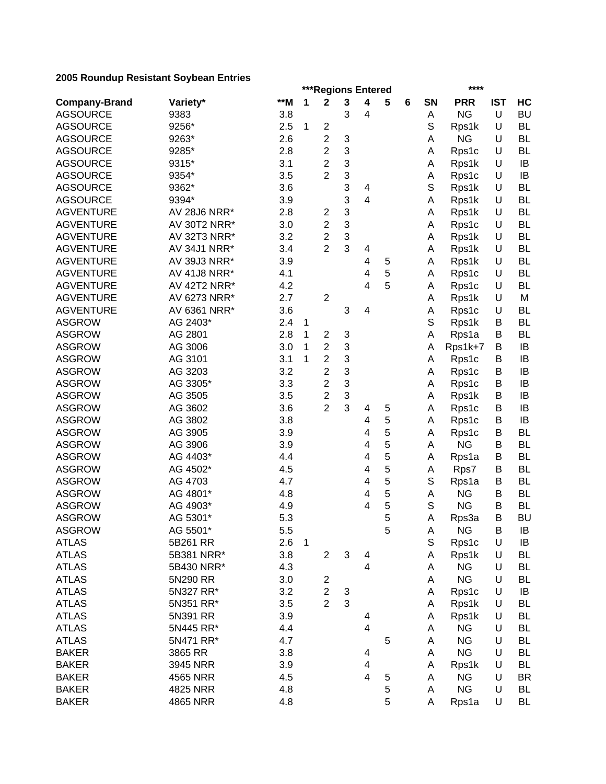|                      |                     |       |              | ***Regions Entered      |   |                         |   |   |    | ****               |            |                        |
|----------------------|---------------------|-------|--------------|-------------------------|---|-------------------------|---|---|----|--------------------|------------|------------------------|
| <b>Company-Brand</b> | Variety*            | $*$ M | 1            | $\mathbf 2$             | 3 | $\overline{\mathbf{4}}$ | 5 | 6 | SN | <b>PRR</b>         | <b>IST</b> | HC                     |
| <b>AGSOURCE</b>      | 9383                | 3.8   |              |                         | 3 | 4                       |   |   | А  | <b>NG</b>          | U          | <b>BU</b>              |
| <b>AGSOURCE</b>      | 9256*               | 2.5   | 1            | $\overline{c}$          |   |                         |   |   | S  | Rps1k              | U          | <b>BL</b>              |
| <b>AGSOURCE</b>      | 9263*               | 2.6   |              | $\overline{c}$          | 3 |                         |   |   | А  | <b>NG</b>          | U          | <b>BL</b>              |
| <b>AGSOURCE</b>      | 9285*               | 2.8   |              | $\overline{2}$          | 3 |                         |   |   | A  | Rps1c              | U          | <b>BL</b>              |
| <b>AGSOURCE</b>      | 9315*               | 3.1   |              | $\overline{2}$          | 3 |                         |   |   | Α  | Rps1k              | U          | IB                     |
| <b>AGSOURCE</b>      | 9354*               | 3.5   |              | $\overline{2}$          | 3 |                         |   |   | Α  | Rps1c              | U          | IB                     |
| <b>AGSOURCE</b>      | 9362*               | 3.6   |              |                         | 3 | 4                       |   |   | S  | Rps1k              | U          | <b>BL</b>              |
| <b>AGSOURCE</b>      | 9394*               | 3.9   |              |                         | 3 | 4                       |   |   | A  | Rps1k              | U          | <b>BL</b>              |
| <b>AGVENTURE</b>     | AV 28J6 NRR*        | 2.8   |              | 2                       | 3 |                         |   |   | Α  | Rps1k              | U          | <b>BL</b>              |
| <b>AGVENTURE</b>     | AV 30T2 NRR*        | 3.0   |              | $\overline{2}$          | 3 |                         |   |   | A  | Rps1c              | U          | <b>BL</b>              |
| <b>AGVENTURE</b>     | AV 32T3 NRR*        | 3.2   |              | $\overline{2}$          | 3 |                         |   |   | A  | Rps1k              | U          | <b>BL</b>              |
| <b>AGVENTURE</b>     | AV 34J1 NRR*        | 3.4   |              | $\overline{2}$          | 3 | 4                       |   |   | A  | Rps1k              | U          | <b>BL</b>              |
| <b>AGVENTURE</b>     | AV 39J3 NRR*        | 3.9   |              |                         |   | 4                       | 5 |   | A  | Rps1k              | U          | <b>BL</b>              |
| <b>AGVENTURE</b>     | <b>AV 41J8 NRR*</b> | 4.1   |              |                         |   | 4                       | 5 |   | A  | Rps1c              | U          | <b>BL</b>              |
| <b>AGVENTURE</b>     | AV 42T2 NRR*        | 4.2   |              |                         |   | 4                       | 5 |   | A  | Rps1c              | U          | <b>BL</b>              |
| <b>AGVENTURE</b>     | AV 6273 NRR*        | 2.7   |              | $\overline{c}$          |   |                         |   |   | Α  | Rps1k              | U          | M                      |
| <b>AGVENTURE</b>     | AV 6361 NRR*        | 3.6   |              |                         | 3 | 4                       |   |   | А  | Rps1c              | U          | <b>BL</b>              |
| <b>ASGROW</b>        | AG 2403*            | 2.4   | 1            |                         |   |                         |   |   | S  | Rps1k              | B          | <b>BL</b>              |
| <b>ASGROW</b>        | AG 2801             | 2.8   | 1            | $\overline{c}$          | 3 |                         |   |   | Α  | Rps1a              | B          | <b>BL</b>              |
| <b>ASGROW</b>        | AG 3006             | 3.0   | 1            | $\boldsymbol{2}$        | 3 |                         |   |   | Α  | Rps1k+7            | B          | IB                     |
| <b>ASGROW</b>        | AG 3101             | 3.1   | 1            | $\overline{2}$          | 3 |                         |   |   | Α  | Rps1c              | В          | IB                     |
| <b>ASGROW</b>        | AG 3203             | 3.2   |              | $\overline{c}$          | 3 |                         |   |   | А  | Rps1c              | B          | IB                     |
| <b>ASGROW</b>        | AG 3305*            | 3.3   |              | $\overline{c}$          | 3 |                         |   |   | A  | Rps1c              | B          | IB                     |
| <b>ASGROW</b>        | AG 3505             | 3.5   |              | $\overline{\mathbf{c}}$ | 3 |                         |   |   | Α  | Rps1k              | B          | IB                     |
| <b>ASGROW</b>        | AG 3602             | 3.6   |              | $\overline{2}$          | 3 | 4                       | 5 |   | A  | Rps1c              | B          | IB                     |
| <b>ASGROW</b>        | AG 3802             | 3.8   |              |                         |   | 4                       | 5 |   | Α  | Rps1c              | B          | IB                     |
| <b>ASGROW</b>        | AG 3905             | 3.9   |              |                         |   | 4                       | 5 |   | A  | Rps1c              | B          | <b>BL</b>              |
| <b>ASGROW</b>        | AG 3906             | 3.9   |              |                         |   | 4                       | 5 |   | A  | <b>NG</b>          | B          | <b>BL</b>              |
| <b>ASGROW</b>        | AG 4403*            | 4.4   |              |                         |   | 4                       | 5 |   | Α  | Rps1a              | В          | <b>BL</b>              |
| <b>ASGROW</b>        | AG 4502*            | 4.5   |              |                         |   | 4                       | 5 |   | А  | Rps7               | В          | <b>BL</b>              |
| <b>ASGROW</b>        | AG 4703             | 4.7   |              |                         |   | 4                       | 5 |   | S  | Rps1a              | В          | <b>BL</b>              |
| <b>ASGROW</b>        | AG 4801*            | 4.8   |              |                         |   | 4                       | 5 |   | А  | <b>NG</b>          | B          | <b>BL</b>              |
| <b>ASGROW</b>        | AG 4903*            | 4.9   |              |                         |   | 4                       | 5 |   | S  | <b>NG</b>          | B          | <b>BL</b>              |
| <b>ASGROW</b>        | AG 5301*            | 5.3   |              |                         |   |                         | 5 |   | А  | Rps3a              | B          | <b>BU</b>              |
| <b>ASGROW</b>        | AG 5501*            | 5.5   |              |                         |   |                         | 5 |   | A  | <b>NG</b>          | B          | IB                     |
|                      | 5B261 RR            | 2.6   | $\mathbf{1}$ |                         |   |                         |   |   | S  |                    | U          | IB                     |
| <b>ATLAS</b>         | 5B381 NRR*          |       |              | $\overline{c}$          | 3 |                         |   |   |    | Rps1c              | U          |                        |
| <b>ATLAS</b>         |                     | 3.8   |              |                         |   | 4                       |   |   | Α  | Rps1k<br><b>NG</b> | U          | <b>BL</b><br><b>BL</b> |
| <b>ATLAS</b>         | 5B430 NRR*          | 4.3   |              |                         |   | 4                       |   |   | Α  |                    |            |                        |
| <b>ATLAS</b>         | 5N290 RR            | 3.0   |              | $\overline{\mathbf{c}}$ |   |                         |   |   | Α  | <b>NG</b>          | U          | <b>BL</b>              |
| <b>ATLAS</b>         | 5N327 RR*           | 3.2   |              | $\overline{c}$          | 3 |                         |   |   | Α  | Rps1c              | U          | IB                     |
| <b>ATLAS</b>         | 5N351 RR*           | 3.5   |              | $\overline{2}$          | 3 |                         |   |   | Α  | Rps1k              | U          | BL                     |
| <b>ATLAS</b>         | 5N391 RR            | 3.9   |              |                         |   | 4                       |   |   | Α  | Rps1k              | U          | <b>BL</b>              |
| <b>ATLAS</b>         | 5N445 RR*           | 4.4   |              |                         |   | 4                       |   |   | Α  | <b>NG</b>          | U          | BL                     |
| <b>ATLAS</b>         | 5N471 RR*           | 4.7   |              |                         |   |                         | 5 |   | Α  | <b>NG</b>          | U          | <b>BL</b>              |
| <b>BAKER</b>         | 3865 RR             | 3.8   |              |                         |   | 4                       |   |   | Α  | <b>NG</b>          | U          | <b>BL</b>              |
| <b>BAKER</b>         | 3945 NRR            | 3.9   |              |                         |   | 4                       |   |   | Α  | Rps1k              | U          | BL                     |
| <b>BAKER</b>         | 4565 NRR            | 4.5   |              |                         |   | 4                       | 5 |   | Α  | <b>NG</b>          | U          | <b>BR</b>              |
| <b>BAKER</b>         | 4825 NRR            | 4.8   |              |                         |   |                         | 5 |   | A  | <b>NG</b>          | U          | <b>BL</b>              |
| <b>BAKER</b>         | 4865 NRR            | 4.8   |              |                         |   |                         | 5 |   | Α  | Rps1a              | U          | <b>BL</b>              |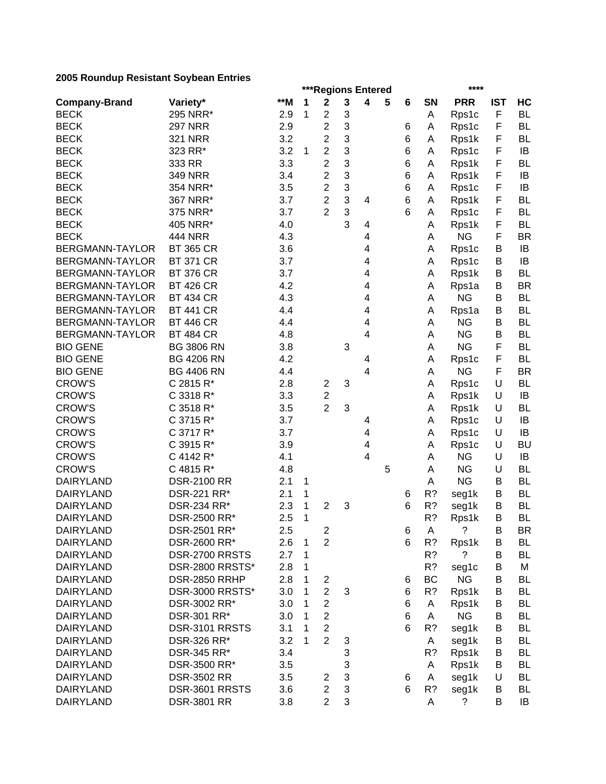|                        |                    |     |   | ***Regions Entered |   |                         |   |   |              | ****                 |            |           |
|------------------------|--------------------|-----|---|--------------------|---|-------------------------|---|---|--------------|----------------------|------------|-----------|
| <b>Company-Brand</b>   | Variety*           | **M | 1 | $\mathbf 2$        | 3 | $\overline{\mathbf{4}}$ | 5 | 6 | SN           | <b>PRR</b>           | <b>IST</b> | HC        |
| <b>BECK</b>            | 295 NRR*           | 2.9 | 1 | 2                  | 3 |                         |   |   | Α            | Rps1c                | F          | <b>BL</b> |
| <b>BECK</b>            | <b>297 NRR</b>     | 2.9 |   | $\overline{c}$     | 3 |                         |   | 6 | А            | Rps1c                | F          | <b>BL</b> |
| <b>BECK</b>            | <b>321 NRR</b>     | 3.2 |   | $\overline{c}$     | 3 |                         |   | 6 | Α            | Rps1k                | F          | <b>BL</b> |
| <b>BECK</b>            | 323 RR*            | 3.2 | 1 | $\overline{c}$     | 3 |                         |   | 6 | А            | Rps1c                | F          | IB        |
| <b>BECK</b>            | 333 RR             | 3.3 |   | $\overline{c}$     | 3 |                         |   | 6 | Α            | Rps1k                | F          | <b>BL</b> |
| <b>BECK</b>            | <b>349 NRR</b>     | 3.4 |   | $\overline{c}$     | 3 |                         |   | 6 | А            | Rps1k                | F          | IB        |
| <b>BECK</b>            | 354 NRR*           | 3.5 |   | $\overline{c}$     | 3 |                         |   | 6 | Α            | Rps1c                | F          | IB        |
| <b>BECK</b>            | 367 NRR*           | 3.7 |   | $\overline{2}$     | 3 | 4                       |   | 6 | Α            | Rps1k                | F          | <b>BL</b> |
| <b>BECK</b>            | 375 NRR*           | 3.7 |   | $\overline{2}$     | 3 |                         |   | 6 | А            | Rps1c                | F          | <b>BL</b> |
| <b>BECK</b>            | 405 NRR*           | 4.0 |   |                    | 3 | 4                       |   |   | Α            | Rps1k                | F          | <b>BL</b> |
| <b>BECK</b>            | <b>444 NRR</b>     | 4.3 |   |                    |   | 4                       |   |   | Α            | <b>NG</b>            | F          | <b>BR</b> |
| <b>BERGMANN-TAYLOR</b> | <b>BT 365 CR</b>   | 3.6 |   |                    |   | 4                       |   |   | A            | Rps1c                | B          | IB        |
| BERGMANN-TAYLOR        | <b>BT 371 CR</b>   | 3.7 |   |                    |   | 4                       |   |   | Α            | Rps1c                | B          | IB        |
| <b>BERGMANN-TAYLOR</b> | <b>BT 376 CR</b>   | 3.7 |   |                    |   | 4                       |   |   | Α            | Rps1k                | в          | <b>BL</b> |
| BERGMANN-TAYLOR        | <b>BT 426 CR</b>   | 4.2 |   |                    |   | 4                       |   |   | Α            | Rps1a                | В          | <b>BR</b> |
| <b>BERGMANN-TAYLOR</b> | <b>BT 434 CR</b>   | 4.3 |   |                    |   | 4                       |   |   | А            | <b>NG</b>            | B          | <b>BL</b> |
| BERGMANN-TAYLOR        | <b>BT 441 CR</b>   | 4.4 |   |                    |   | 4                       |   |   | А            | Rps1a                | B          | <b>BL</b> |
| BERGMANN-TAYLOR        | <b>BT 446 CR</b>   | 4.4 |   |                    |   | 4                       |   |   | Α            | <b>NG</b>            | В          | <b>BL</b> |
| BERGMANN-TAYLOR        | <b>BT 484 CR</b>   | 4.8 |   |                    |   | 4                       |   |   | Α            | <b>NG</b>            | B          | <b>BL</b> |
| <b>BIO GENE</b>        | <b>BG 3806 RN</b>  | 3.8 |   |                    | 3 |                         |   |   |              | <b>NG</b>            | F          | <b>BL</b> |
|                        |                    |     |   |                    |   |                         |   |   | А            |                      | F          |           |
| <b>BIO GENE</b>        | <b>BG 4206 RN</b>  | 4.2 |   |                    |   | 4                       |   |   | Α            | Rps1c                |            | <b>BL</b> |
| <b>BIO GENE</b>        | <b>BG 4406 RN</b>  | 4.4 |   |                    |   | 4                       |   |   | А            | <b>NG</b>            | F          | <b>BR</b> |
| <b>CROW'S</b>          | C 2815 R*          | 2.8 |   | $\overline{c}$     | 3 |                         |   |   | Α            | Rps1c                | U          | <b>BL</b> |
| <b>CROW'S</b>          | C 3318 R*          | 3.3 |   | 2                  |   |                         |   |   | А            | Rps1k                | U          | IB        |
| <b>CROW'S</b>          | C 3518 R*          | 3.5 |   | $\overline{2}$     | 3 |                         |   |   | А            | Rps1k                | U          | <b>BL</b> |
| <b>CROW'S</b>          | C 3715 R*          | 3.7 |   |                    |   | 4                       |   |   | А            | Rps1c                | U          | IB        |
| <b>CROW'S</b>          | C 3717 R*          | 3.7 |   |                    |   | 4                       |   |   | Α            | Rps1c                | U          | IB        |
| <b>CROW'S</b>          | C 3915 R*          | 3.9 |   |                    |   | 4                       |   |   | Α            | Rps1c                | U          | <b>BU</b> |
| <b>CROW'S</b>          | C 4142 R*          | 4.1 |   |                    |   | 4                       |   |   | Α            | <b>NG</b>            | U          | IB        |
| <b>CROW'S</b>          | C 4815 R*          | 4.8 |   |                    |   |                         | 5 |   | Α            | <b>NG</b>            | U          | <b>BL</b> |
| <b>DAIRYLAND</b>       | <b>DSR-2100 RR</b> | 2.1 | 1 |                    |   |                         |   |   | А            | <b>NG</b>            | В          | <b>BL</b> |
| <b>DAIRYLAND</b>       | DSR-221 RR*        | 2.1 | 1 |                    |   |                         |   | 6 | R?           | seg1k                | B          | <b>BL</b> |
| <b>DAIRYLAND</b>       | DSR-234 RR*        | 2.3 | 1 | $\overline{2}$     | 3 |                         |   | 6 | R?           | seg1k                | B          | <b>BL</b> |
| <b>DAIRYLAND</b>       | DSR-2500 RR*       | 2.5 | 1 |                    |   |                         |   |   | R?           | Rps1k                | B          | <b>BL</b> |
| DAIRYLAND              | DSR-2501 RR*       | 2.5 |   | 2                  |   |                         |   | 6 | $\mathsf{A}$ | $\ddot{\phantom{0}}$ | B          | <b>BR</b> |
| <b>DAIRYLAND</b>       | DSR-2600 RR*       | 2.6 | 1 | $\overline{2}$     |   |                         |   | 6 | R?           | Rps1k                | В          | BL        |
| <b>DAIRYLAND</b>       | DSR-2700 RRSTS     | 2.7 | 1 |                    |   |                         |   |   | R?           | ?                    | В          | <b>BL</b> |
| <b>DAIRYLAND</b>       | DSR-2800 RRSTS*    | 2.8 | 1 |                    |   |                         |   |   | R?           | seg1c                | В          | M         |
| <b>DAIRYLAND</b>       | DSR-2850 RRHP      | 2.8 | 1 | $\overline{c}$     |   |                         |   | 6 | BC           | <b>NG</b>            | В          | <b>BL</b> |
| <b>DAIRYLAND</b>       | DSR-3000 RRSTS*    | 3.0 | 1 | $\overline{c}$     | 3 |                         |   | 6 | R?           | Rps1k                | B          | BL        |
| <b>DAIRYLAND</b>       | DSR-3002 RR*       | 3.0 | 1 | $\overline{c}$     |   |                         |   | 6 | A            | Rps1k                | В          | BL        |
| <b>DAIRYLAND</b>       | DSR-301 RR*        | 3.0 |   | $\overline{c}$     |   |                         |   | 6 | A            | <b>NG</b>            | В          | BL        |
| <b>DAIRYLAND</b>       | DSR-3101 RRSTS     | 3.1 | 1 | $\overline{2}$     |   |                         |   | 6 | R?           | seg1k                | B          | <b>BL</b> |
| <b>DAIRYLAND</b>       | DSR-326 RR*        | 3.2 | 1 | $\overline{2}$     | 3 |                         |   |   | A            | seg1k                | В          | <b>BL</b> |
| <b>DAIRYLAND</b>       | DSR-345 RR*        | 3.4 |   |                    | 3 |                         |   |   | R?           | Rps1k                | B          | BL        |
| <b>DAIRYLAND</b>       | DSR-3500 RR*       | 3.5 |   |                    | 3 |                         |   |   | A            | Rps1k                | B          | <b>BL</b> |
| <b>DAIRYLAND</b>       | <b>DSR-3502 RR</b> | 3.5 |   | 2                  | 3 |                         |   | 6 | A            | seg1k                | U          | <b>BL</b> |
| <b>DAIRYLAND</b>       | DSR-3601 RRSTS     | 3.6 |   | $\overline{c}$     | 3 |                         |   | 6 | R?           | seg1k                | B          | <b>BL</b> |
| DAIRYLAND              | <b>DSR-3801 RR</b> | 3.8 |   | $\overline{2}$     | 3 |                         |   |   | A            | ?                    | B          | IB        |
|                        |                    |     |   |                    |   |                         |   |   |              |                      |            |           |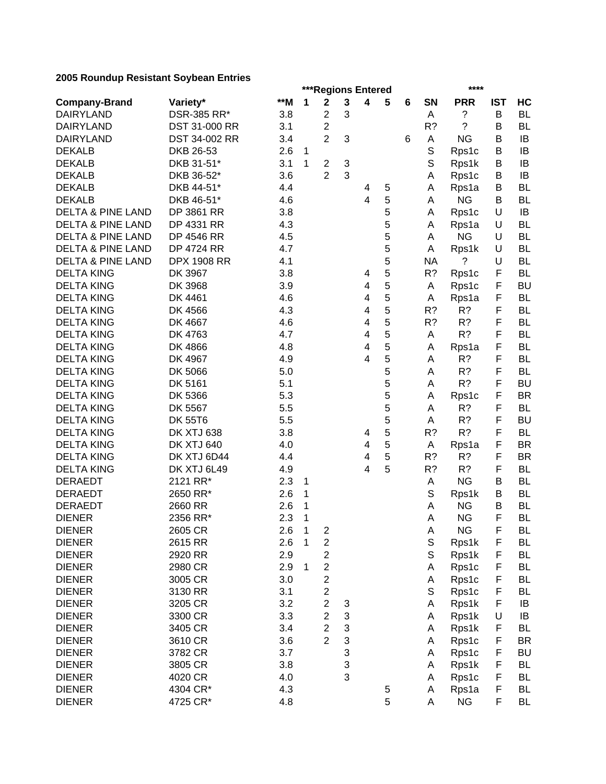|                              |                    |     |              | ***Regions Entered                          |   |                         |   |   |           | ****       |             |           |
|------------------------------|--------------------|-----|--------------|---------------------------------------------|---|-------------------------|---|---|-----------|------------|-------------|-----------|
| <b>Company-Brand</b>         | Variety*           | **M | 1            | $\mathbf 2$                                 | 3 | 4                       | 5 | 6 | <b>SN</b> | <b>PRR</b> | <b>IST</b>  | HC        |
| <b>DAIRYLAND</b>             | DSR-385 RR*        | 3.8 |              | $\mathbf 2$                                 | 3 |                         |   |   | Α         | ?          | B           | <b>BL</b> |
| <b>DAIRYLAND</b>             | DST 31-000 RR      | 3.1 |              | $\overline{c}$                              |   |                         |   |   | $R$ ?     | ?          | B           | <b>BL</b> |
| <b>DAIRYLAND</b>             | DST 34-002 RR      | 3.4 |              | $\overline{2}$                              | 3 |                         |   | 6 | Α         | <b>NG</b>  | B           | IB        |
| <b>DEKALB</b>                | DKB 26-53          | 2.6 | $\mathbf{1}$ |                                             |   |                         |   |   | S         | Rps1c      | B           | IB        |
| <b>DEKALB</b>                | DKB 31-51*         | 3.1 | 1            | $\overline{c}$                              | 3 |                         |   |   | S         | Rps1k      | В           | IB        |
| <b>DEKALB</b>                | DKB 36-52*         | 3.6 |              | 2                                           | 3 |                         |   |   | Α         | Rps1c      | В           | IB        |
| <b>DEKALB</b>                | DKB 44-51*         | 4.4 |              |                                             |   | 4                       | 5 |   | Α         | Rps1a      | В           | <b>BL</b> |
| <b>DEKALB</b>                | DKB 46-51*         | 4.6 |              |                                             |   | $\overline{\mathbf{4}}$ | 5 |   | Α         | <b>NG</b>  | В           | BL        |
| <b>DELTA &amp; PINE LAND</b> | DP 3861 RR         | 3.8 |              |                                             |   |                         | 5 |   | Α         | Rps1c      | U           | IB        |
| <b>DELTA &amp; PINE LAND</b> | DP 4331 RR         | 4.3 |              |                                             |   |                         | 5 |   | Α         | Rps1a      | U           | <b>BL</b> |
| <b>DELTA &amp; PINE LAND</b> | DP 4546 RR         | 4.5 |              |                                             |   |                         | 5 |   | A         | <b>NG</b>  | U           | <b>BL</b> |
| <b>DELTA &amp; PINE LAND</b> | <b>DP 4724 RR</b>  | 4.7 |              |                                             |   |                         | 5 |   | A         | Rps1k      | U           | BL        |
| <b>DELTA &amp; PINE LAND</b> | <b>DPX 1908 RR</b> | 4.1 |              |                                             |   |                         | 5 |   | ΝA        | ?          | U           | <b>BL</b> |
| <b>DELTA KING</b>            | DK 3967            | 3.8 |              |                                             |   | 4                       | 5 |   | R?        | Rps1c      | F           | <b>BL</b> |
| <b>DELTA KING</b>            | DK 3968            | 3.9 |              |                                             |   | 4                       | 5 |   | A         | Rps1c      | F           | <b>BU</b> |
| <b>DELTA KING</b>            | DK 4461            | 4.6 |              |                                             |   | 4                       | 5 |   | A         | Rps1a      | F           | <b>BL</b> |
| <b>DELTA KING</b>            | DK 4566            | 4.3 |              |                                             |   | 4                       | 5 |   | R?        | R?         | F           | <b>BL</b> |
| <b>DELTA KING</b>            | DK 4667            | 4.6 |              |                                             |   | 4                       | 5 |   | R?        | R?         | F           | <b>BL</b> |
| <b>DELTA KING</b>            | DK 4763            | 4.7 |              |                                             |   | 4                       | 5 |   | Α         | R?         | F           | <b>BL</b> |
| <b>DELTA KING</b>            | DK 4866            | 4.8 |              |                                             |   | 4                       | 5 |   | Α         | Rps1a      | F           | <b>BL</b> |
| <b>DELTA KING</b>            | DK 4967            | 4.9 |              |                                             |   | 4                       | 5 |   | Α         | R?         | F           | <b>BL</b> |
| <b>DELTA KING</b>            | DK 5066            | 5.0 |              |                                             |   |                         | 5 |   | A         | R?         | F           | <b>BL</b> |
| <b>DELTA KING</b>            | DK 5161            | 5.1 |              |                                             |   |                         | 5 |   | Α         | R?         | F           | <b>BU</b> |
| <b>DELTA KING</b>            | DK 5366            | 5.3 |              |                                             |   |                         | 5 |   | Α         | Rps1c      | F           | <b>BR</b> |
| <b>DELTA KING</b>            | DK 5567            | 5.5 |              |                                             |   |                         | 5 |   | Α         | R?         | F           | <b>BL</b> |
| <b>DELTA KING</b>            | <b>DK 55T6</b>     | 5.5 |              |                                             |   |                         | 5 |   | Α         | R?         | F           | <b>BU</b> |
| <b>DELTA KING</b>            | DK XTJ 638         | 3.8 |              |                                             |   | 4                       | 5 |   | R?        | R?         | F           | <b>BL</b> |
| <b>DELTA KING</b>            | <b>DK XTJ 640</b>  | 4.0 |              |                                             |   | 4                       | 5 |   | Α         | Rps1a      | F           | <b>BR</b> |
| <b>DELTA KING</b>            | DK XTJ 6D44        | 4.4 |              |                                             |   | 4                       | 5 |   | R?        | R?         | F           | <b>BR</b> |
| <b>DELTA KING</b>            | DK XTJ 6L49        | 4.9 |              |                                             |   | 4                       | 5 |   | R?        | R?         | F           | <b>BL</b> |
| <b>DERAEDT</b>               | 2121 RR*           | 2.3 | 1            |                                             |   |                         |   |   | A         | <b>NG</b>  | B           | <b>BL</b> |
| <b>DERAEDT</b>               | 2650 RR*           | 2.6 | 1            |                                             |   |                         |   |   | S         | Rps1k      | В           | <b>BL</b> |
| <b>DERAEDT</b>               | 2660 RR            | 2.6 | 1            |                                             |   |                         |   |   | A         | <b>NG</b>  | B           | <b>BL</b> |
| <b>DIENER</b>                | 2356 RR*           | 2.3 | $\mathbf{1}$ |                                             |   |                         |   |   | A         | <b>NG</b>  | F           | <b>BL</b> |
| <b>DIENER</b>                | 2605 CR            | 2.6 | $\mathbf{1}$ | $\boldsymbol{2}$                            |   |                         |   |   | A         | <b>NG</b>  | F           | BL        |
| <b>DIENER</b>                |                    |     | $\mathbf 1$  |                                             |   |                         |   |   | S         |            | F           | BL        |
| <b>DIENER</b>                | 2615 RR<br>2920 RR | 2.6 |              | $\overline{\mathbf{c}}$                     |   |                         |   |   | S         | Rps1k      | $\mathsf F$ | <b>BL</b> |
|                              |                    | 2.9 |              | $\overline{\mathbf{c}}$<br>$\boldsymbol{2}$ |   |                         |   |   |           | Rps1k      | F           |           |
| <b>DIENER</b>                | 2980 CR            | 2.9 | 1            |                                             |   |                         |   |   | Α         | Rps1c      |             | <b>BL</b> |
| <b>DIENER</b>                | 3005 CR            | 3.0 |              | $\overline{\mathbf{c}}$                     |   |                         |   |   | Α         | Rps1c      | F           | <b>BL</b> |
| <b>DIENER</b>                | 3130 RR            | 3.1 |              | $\overline{\mathbf{c}}$                     |   |                         |   |   | S         | Rps1c      | F           | <b>BL</b> |
| <b>DIENER</b>                | 3205 CR            | 3.2 |              | $\overline{\mathbf{c}}$                     | 3 |                         |   |   | Α         | Rps1k      | F           | IB        |
| <b>DIENER</b>                | 3300 CR            | 3.3 |              | $\overline{c}$                              | 3 |                         |   |   | Α         | Rps1k      | U           | IB        |
| <b>DIENER</b>                | 3405 CR            | 3.4 |              | $\overline{c}$                              | 3 |                         |   |   | Α         | Rps1k      | F           | <b>BL</b> |
| <b>DIENER</b>                | 3610 CR            | 3.6 |              | $\overline{2}$                              | 3 |                         |   |   | Α         | Rps1c      | F           | <b>BR</b> |
| <b>DIENER</b>                | 3782 CR            | 3.7 |              |                                             | 3 |                         |   |   | Α         | Rps1c      | F           | <b>BU</b> |
| <b>DIENER</b>                | 3805 CR            | 3.8 |              |                                             | 3 |                         |   |   | Α         | Rps1k      | F           | <b>BL</b> |
| <b>DIENER</b>                | 4020 CR            | 4.0 |              |                                             | 3 |                         |   |   | Α         | Rps1c      | F           | <b>BL</b> |
| <b>DIENER</b>                | 4304 CR*           | 4.3 |              |                                             |   |                         | 5 |   | Α         | Rps1a      | F           | <b>BL</b> |
| <b>DIENER</b>                | 4725 CR*           | 4.8 |              |                                             |   |                         | 5 |   | Α         | <b>NG</b>  | F           | <b>BL</b> |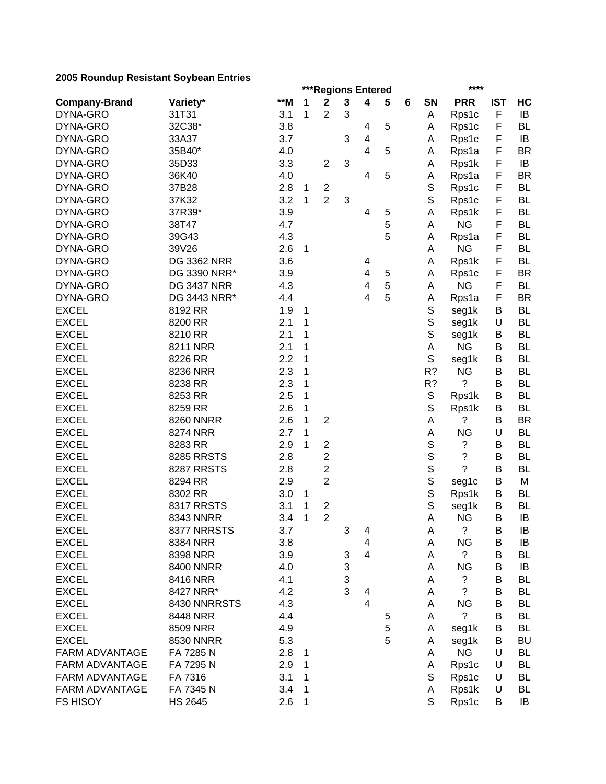|                       |                    |     |   | ***Regions Entered      |             |                         |   |   |             | ****                     |            |           |
|-----------------------|--------------------|-----|---|-------------------------|-------------|-------------------------|---|---|-------------|--------------------------|------------|-----------|
| <b>Company-Brand</b>  | Variety*           | **M | 1 | $\mathbf 2$             | $\mathbf 3$ | 4                       | 5 | 6 | SN          | <b>PRR</b>               | <b>IST</b> | HC        |
| DYNA-GRO              | 31T31              | 3.1 | 1 | 2                       | 3           |                         |   |   | Α           | Rps1c                    | F          | IB        |
| DYNA-GRO              | 32C38*             | 3.8 |   |                         |             | 4                       | 5 |   | A           | Rps1c                    | F          | <b>BL</b> |
| DYNA-GRO              | 33A37              | 3.7 |   |                         | 3           | $\overline{\mathbf{4}}$ |   |   | Α           | Rps1c                    | F          | IB        |
| DYNA-GRO              | 35B40*             | 4.0 |   |                         |             | 4                       | 5 |   | A           | Rps1a                    | F          | <b>BR</b> |
| DYNA-GRO              | 35D33              | 3.3 |   | $\overline{c}$          | 3           |                         |   |   | Α           | Rps1k                    | F          | IB        |
| DYNA-GRO              | 36K40              | 4.0 |   |                         |             | 4                       | 5 |   | Α           | Rps1a                    | F          | <b>BR</b> |
| DYNA-GRO              | 37B28              | 2.8 | 1 | $\overline{\mathbf{c}}$ |             |                         |   |   | $\mathbb S$ | Rps1c                    | F          | <b>BL</b> |
| DYNA-GRO              | 37K32              | 3.2 | 1 | $\overline{2}$          | 3           |                         |   |   | S           | Rps1c                    | F          | <b>BL</b> |
| DYNA-GRO              | 37R39*             | 3.9 |   |                         |             | 4                       | 5 |   | Α           | Rps1k                    | F          | <b>BL</b> |
| DYNA-GRO              | 38T47              | 4.7 |   |                         |             |                         | 5 |   | А           | <b>NG</b>                | F          | <b>BL</b> |
| DYNA-GRO              | 39G43              | 4.3 |   |                         |             |                         | 5 |   | Α           | Rps1a                    | F          | <b>BL</b> |
| DYNA-GRO              | 39V26              | 2.6 | 1 |                         |             |                         |   |   | Α           | <b>NG</b>                | F          | <b>BL</b> |
| DYNA-GRO              | <b>DG 3362 NRR</b> | 3.6 |   |                         |             | 4                       |   |   | A           | Rps1k                    | F          | <b>BL</b> |
| DYNA-GRO              | DG 3390 NRR*       | 3.9 |   |                         |             | 4                       | 5 |   | А           | Rps1c                    | F          | <b>BR</b> |
| DYNA-GRO              | <b>DG 3437 NRR</b> | 4.3 |   |                         |             | 4                       | 5 |   | Α           | <b>NG</b>                | F          | <b>BL</b> |
| DYNA-GRO              | DG 3443 NRR*       | 4.4 |   |                         |             | 4                       | 5 |   | Α           | Rps1a                    | F          | <b>BR</b> |
| <b>EXCEL</b>          | 8192 RR            | 1.9 |   |                         |             |                         |   |   | $\mathbb S$ |                          | В          | <b>BL</b> |
| <b>EXCEL</b>          |                    |     | 1 |                         |             |                         |   |   |             | seg1k                    |            | <b>BL</b> |
|                       | 8200 RR            | 2.1 | 1 |                         |             |                         |   |   | $\mathbb S$ | seg1k                    | U          |           |
| <b>EXCEL</b>          | 8210 RR            | 2.1 | 1 |                         |             |                         |   |   | $\mathbb S$ | seg1k                    | B          | <b>BL</b> |
| <b>EXCEL</b>          | 8211 NRR           | 2.1 | 1 |                         |             |                         |   |   | A           | <b>NG</b>                | B          | <b>BL</b> |
| <b>EXCEL</b>          | 8226 RR            | 2.2 | 1 |                         |             |                         |   |   | S           | seg1k                    | B          | <b>BL</b> |
| <b>EXCEL</b>          | 8236 NRR           | 2.3 | 1 |                         |             |                         |   |   | R?          | <b>NG</b>                | B          | <b>BL</b> |
| <b>EXCEL</b>          | 8238 RR            | 2.3 | 1 |                         |             |                         |   |   | R?          | ?                        | B          | <b>BL</b> |
| <b>EXCEL</b>          | 8253 RR            | 2.5 | 1 |                         |             |                         |   |   | $\mathbb S$ | Rps1k                    | B          | <b>BL</b> |
| <b>EXCEL</b>          | 8259 RR            | 2.6 | 1 |                         |             |                         |   |   | S           | Rps1k                    | B          | <b>BL</b> |
| <b>EXCEL</b>          | <b>8260 NNRR</b>   | 2.6 | 1 | $\overline{2}$          |             |                         |   |   | Α           | ?                        | B          | <b>BR</b> |
| <b>EXCEL</b>          | 8274 NRR           | 2.7 | 1 |                         |             |                         |   |   | A           | <b>NG</b>                | U          | <b>BL</b> |
| <b>EXCEL</b>          | 8283 RR            | 2.9 | 1 | $\overline{c}$          |             |                         |   |   | $\mathbb S$ | ?                        | В          | <b>BL</b> |
| <b>EXCEL</b>          | <b>8285 RRSTS</b>  | 2.8 |   | $\mathbf 2$             |             |                         |   |   | S           | $\overline{\mathcal{C}}$ | B          | <b>BL</b> |
| <b>EXCEL</b>          | 8287 RRSTS         | 2.8 |   | 2                       |             |                         |   |   | S           | ?                        | B          | <b>BL</b> |
| <b>EXCEL</b>          | 8294 RR            | 2.9 |   | $\overline{2}$          |             |                         |   |   | S           | seg1c                    | B          | M         |
| <b>EXCEL</b>          | 8302 RR            | 3.0 | 1 |                         |             |                         |   |   | S           | Rps1k                    | B          | <b>BL</b> |
| <b>EXCEL</b>          | <b>8317 RRSTS</b>  | 3.1 | 1 | $\mathbf 2$             |             |                         |   |   | $\mathbb S$ | seg1k                    | B          | <b>BL</b> |
| <b>EXCEL</b>          | <b>8343 NNRR</b>   | 3.4 | 1 | $\overline{2}$          |             |                         |   |   | A           | <b>NG</b>                | B          | IB        |
| <b>EXCEL</b>          | 8377 NRRSTS        | 3.7 |   |                         | 3           | 4                       |   |   | A           | ?                        | $\sf B$    | $\sf IB$  |
| <b>EXCEL</b>          | 8384 NRR           | 3.8 |   |                         |             | 4                       |   |   | Α           | <b>NG</b>                | В          | IB        |
| <b>EXCEL</b>          | 8398 NRR           | 3.9 |   |                         | 3           | $\overline{4}$          |   |   | Α           | $\tilde{?}$              | B          | <b>BL</b> |
| <b>EXCEL</b>          | 8400 NNRR          | 4.0 |   |                         | 3           |                         |   |   | Α           | <b>NG</b>                | B          | IB        |
| <b>EXCEL</b>          | 8416 NRR           | 4.1 |   |                         | 3           |                         |   |   | Α           | ?                        | B          | <b>BL</b> |
| <b>EXCEL</b>          | 8427 NRR*          | 4.2 |   |                         | 3           | 4                       |   |   | Α           | $\overline{?}$           | B          | <b>BL</b> |
| <b>EXCEL</b>          | 8430 NNRRSTS       | 4.3 |   |                         |             | 4                       |   |   | Α           | <b>NG</b>                | B          | BL        |
| <b>EXCEL</b>          | 8448 NRR           | 4.4 |   |                         |             |                         | 5 |   | Α           | $\tilde{?}$              | B          | <b>BL</b> |
| <b>EXCEL</b>          | 8509 NRR           | 4.9 |   |                         |             |                         | 5 |   | Α           | seg1k                    | В          | <b>BL</b> |
| <b>EXCEL</b>          | 8530 NNRR          | 5.3 |   |                         |             |                         | 5 |   | Α           | seg1k                    | B          | <b>BU</b> |
| <b>FARM ADVANTAGE</b> | FA 7285 N          | 2.8 | 1 |                         |             |                         |   |   | A           | <b>NG</b>                | U          | <b>BL</b> |
| <b>FARM ADVANTAGE</b> | FA 7295 N          | 2.9 | 1 |                         |             |                         |   |   | Α           | Rps1c                    | U          | <b>BL</b> |
| <b>FARM ADVANTAGE</b> | FA 7316            | 3.1 | 1 |                         |             |                         |   |   | S           | Rps1c                    | U          | <b>BL</b> |
| <b>FARM ADVANTAGE</b> | FA 7345 N          | 3.4 | 1 |                         |             |                         |   |   | Α           | Rps1k                    | U          | <b>BL</b> |
| <b>FS HISOY</b>       | <b>HS 2645</b>     | 2.6 | 1 |                         |             |                         |   |   | S           | Rps1c                    | В          | IB        |
|                       |                    |     |   |                         |             |                         |   |   |             |                          |            |           |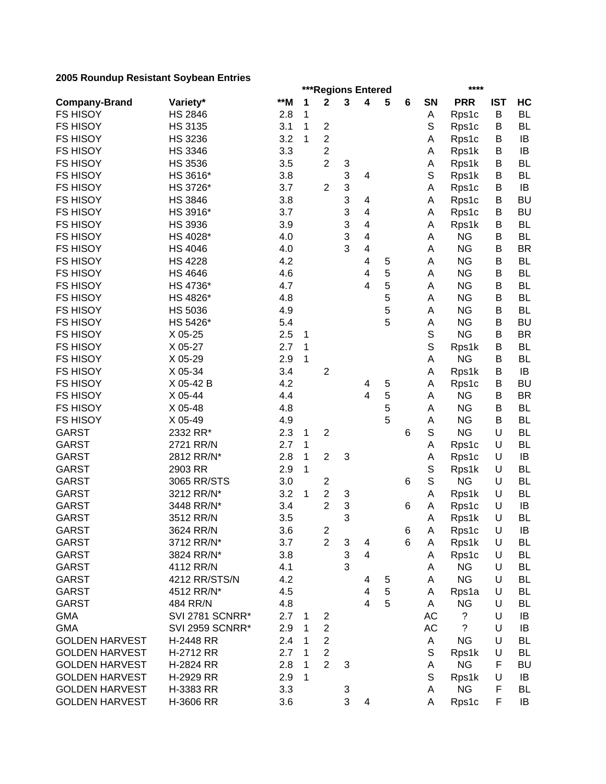|                       |                        |     |   | ***Regions Entered               |   |                         |   |   |             | ****       |            |           |
|-----------------------|------------------------|-----|---|----------------------------------|---|-------------------------|---|---|-------------|------------|------------|-----------|
| <b>Company-Brand</b>  | Variety*               | **M | 1 | $\mathbf{2}$                     | 3 | 4                       | 5 | 6 | SN          | <b>PRR</b> | <b>IST</b> | HC        |
| <b>FS HISOY</b>       | <b>HS 2846</b>         | 2.8 | 1 |                                  |   |                         |   |   | Α           | Rps1c      | B          | <b>BL</b> |
| <b>FS HISOY</b>       | HS 3135                | 3.1 | 1 | $\mathbf 2$                      |   |                         |   |   | S           | Rps1c      | B          | <b>BL</b> |
| <b>FS HISOY</b>       | <b>HS 3236</b>         | 3.2 | 1 | $\overline{c}$                   |   |                         |   |   | Α           | Rps1c      | B          | IB        |
| <b>FS HISOY</b>       | <b>HS 3346</b>         | 3.3 |   | $\overline{c}$                   |   |                         |   |   | Α           | Rps1k      | B          | IB        |
| <b>FS HISOY</b>       | <b>HS 3536</b>         | 3.5 |   | $\overline{2}$                   | 3 |                         |   |   | Α           | Rps1k      | B          | <b>BL</b> |
| <b>FS HISOY</b>       | HS 3616*               | 3.8 |   |                                  | 3 | 4                       |   |   | S           | Rps1k      | B          | <b>BL</b> |
| <b>FS HISOY</b>       | HS 3726*               | 3.7 |   | $\overline{2}$                   | 3 |                         |   |   | Α           | Rps1c      | B          | IB        |
| <b>FS HISOY</b>       | <b>HS 3846</b>         | 3.8 |   |                                  | 3 | 4                       |   |   | Α           | Rps1c      | B          | <b>BU</b> |
| <b>FS HISOY</b>       | HS 3916*               | 3.7 |   |                                  | 3 | $\overline{\mathbf{4}}$ |   |   | Α           | Rps1c      | B          | <b>BU</b> |
| <b>FS HISOY</b>       | <b>HS 3936</b>         | 3.9 |   |                                  | 3 | 4                       |   |   | Α           | Rps1k      | В          | <b>BL</b> |
| <b>FS HISOY</b>       | HS 4028*               | 4.0 |   |                                  | 3 | 4                       |   |   | Α           | <b>NG</b>  | В          | <b>BL</b> |
| <b>FS HISOY</b>       | <b>HS 4046</b>         | 4.0 |   |                                  | 3 | 4                       |   |   | A           | <b>NG</b>  | B          | <b>BR</b> |
| <b>FS HISOY</b>       | <b>HS 4228</b>         | 4.2 |   |                                  |   | 4                       | 5 |   | Α           | <b>NG</b>  | B          | <b>BL</b> |
| <b>FS HISOY</b>       | <b>HS 4646</b>         | 4.6 |   |                                  |   | 4                       | 5 |   | A           | <b>NG</b>  | В          | <b>BL</b> |
| <b>FS HISOY</b>       | HS 4736*               | 4.7 |   |                                  |   | 4                       | 5 |   | A           | <b>NG</b>  | B          | <b>BL</b> |
| <b>FS HISOY</b>       | HS 4826*               | 4.8 |   |                                  |   |                         | 5 |   | A           | <b>NG</b>  | B          | <b>BL</b> |
| <b>FS HISOY</b>       | <b>HS 5036</b>         | 4.9 |   |                                  |   |                         | 5 |   | A           | <b>NG</b>  | B          | <b>BL</b> |
| <b>FS HISOY</b>       | HS 5426*               | 5.4 |   |                                  |   |                         | 5 |   | A           | <b>NG</b>  | B          | <b>BU</b> |
| <b>FS HISOY</b>       | X 05-25                | 2.5 | 1 |                                  |   |                         |   |   | $\mathbb S$ | <b>NG</b>  | B          | <b>BR</b> |
| <b>FS HISOY</b>       | X 05-27                | 2.7 | 1 |                                  |   |                         |   |   | $\mathbb S$ | Rps1k      | B          | <b>BL</b> |
| <b>FS HISOY</b>       | X 05-29                | 2.9 | 1 |                                  |   |                         |   |   | Α           | <b>NG</b>  | B          | <b>BL</b> |
| <b>FS HISOY</b>       | X 05-34                | 3.4 |   | $\mathbf 2$                      |   |                         |   |   | Α           | Rps1k      | B          | IB        |
| <b>FS HISOY</b>       | X 05-42 B              | 4.2 |   |                                  |   | 4                       | 5 |   | Α           | Rps1c      | B          | <b>BU</b> |
| <b>FS HISOY</b>       | X 05-44                | 4.4 |   |                                  |   | $\overline{4}$          | 5 |   | A           | <b>NG</b>  | B          | <b>BR</b> |
| <b>FS HISOY</b>       | X 05-48                | 4.8 |   |                                  |   |                         | 5 |   | A           | <b>NG</b>  | B          | <b>BL</b> |
| <b>FS HISOY</b>       | X 05-49                | 4.9 |   |                                  |   |                         | 5 |   | A           | <b>NG</b>  | B          | <b>BL</b> |
| <b>GARST</b>          | 2332 RR*               | 2.3 | 1 | $\overline{2}$                   |   |                         |   | 6 | S           | <b>NG</b>  | U          | <b>BL</b> |
| <b>GARST</b>          | 2721 RR/N              | 2.7 | 1 |                                  |   |                         |   |   | Α           | Rps1c      | U          | <b>BL</b> |
| <b>GARST</b>          | 2812 RR/N*             | 2.8 | 1 | $\overline{2}$                   | 3 |                         |   |   | Α           | Rps1c      | U          | IB        |
| <b>GARST</b>          | 2903 RR                | 2.9 | 1 |                                  |   |                         |   |   | S           | Rps1k      | U          | <b>BL</b> |
| <b>GARST</b>          | 3065 RR/STS            | 3.0 |   | $\overline{\mathbf{c}}$          |   |                         |   | 6 | $\mathbb S$ | <b>NG</b>  | U          | <b>BL</b> |
| <b>GARST</b>          | 3212 RR/N*             | 3.2 | 1 | $\boldsymbol{2}$                 | 3 |                         |   |   | Α           | Rps1k      | U          | <b>BL</b> |
| <b>GARST</b>          | 3448 RR/N*             | 3.4 |   | $\overline{2}$                   | 3 |                         |   | 6 | A           | Rps1c      | U          | IB        |
| <b>GARST</b>          | 3512 RR/N              | 3.5 |   |                                  | 3 |                         |   |   | Α           | Rps1k      | U          | <b>BL</b> |
| <b>GARST</b>          | 3624 RR/N              | 3.6 |   | $\mathbf 2$                      |   |                         |   | 6 | Α           | Rps1c      | U          | IB        |
| GARST                 | 3712 RR/N*             | 3.7 |   | $\overline{2}$                   | 3 | 4                       |   | 6 | A           | Rps1k      | U          | <b>BL</b> |
| GARST                 | 3824 RR/N*             | 3.8 |   |                                  | 3 | $\overline{\mathbf{4}}$ |   |   | A           | Rps1c      | U          | <b>BL</b> |
| <b>GARST</b>          | 4112 RR/N              | 4.1 |   |                                  | 3 |                         |   |   | Α           | <b>NG</b>  | U          | <b>BL</b> |
| <b>GARST</b>          | 4212 RR/STS/N          | 4.2 |   |                                  |   | 4                       | 5 |   | Α           | <b>NG</b>  | U          | <b>BL</b> |
| <b>GARST</b>          | 4512 RR/N*             | 4.5 |   |                                  |   | 4                       | 5 |   | Α           | Rps1a      | U          | <b>BL</b> |
| <b>GARST</b>          | 484 RR/N               | 4.8 |   |                                  |   | $\overline{\mathbf{4}}$ | 5 |   | A           | <b>NG</b>  | U          | <b>BL</b> |
| <b>GMA</b>            | SVI 2781 SCNRR*        | 2.7 | 1 | $\overline{\mathbf{c}}$          |   |                         |   |   | AC          | ?          | U          | IB        |
| <b>GMA</b>            | <b>SVI 2959 SCNRR*</b> | 2.9 | 1 | $\overline{c}$                   |   |                         |   |   | AC          | ?          | U          | IB        |
| <b>GOLDEN HARVEST</b> | H-2448 RR              | 2.4 | 1 | $\mathbf{2}$                     |   |                         |   |   |             | <b>NG</b>  | U          | <b>BL</b> |
|                       |                        |     |   |                                  |   |                         |   |   | Α<br>S      |            | U          |           |
| <b>GOLDEN HARVEST</b> | H-2712 RR              | 2.7 | 1 | $\overline{2}$<br>$\overline{2}$ |   |                         |   |   |             | Rps1k      | F          | <b>BL</b> |
| <b>GOLDEN HARVEST</b> | H-2824 RR              | 2.8 | 1 |                                  | 3 |                         |   |   | Α           | <b>NG</b>  |            | <b>BU</b> |
| <b>GOLDEN HARVEST</b> | H-2929 RR              | 2.9 | 1 |                                  |   |                         |   |   | S           | Rps1k      | U          | IB        |
| <b>GOLDEN HARVEST</b> | H-3383 RR              | 3.3 |   |                                  | 3 |                         |   |   | Α           | <b>NG</b>  | F          | <b>BL</b> |
| <b>GOLDEN HARVEST</b> | H-3606 RR              | 3.6 |   |                                  | 3 | 4                       |   |   | Α           | Rps1c      | F          | IB        |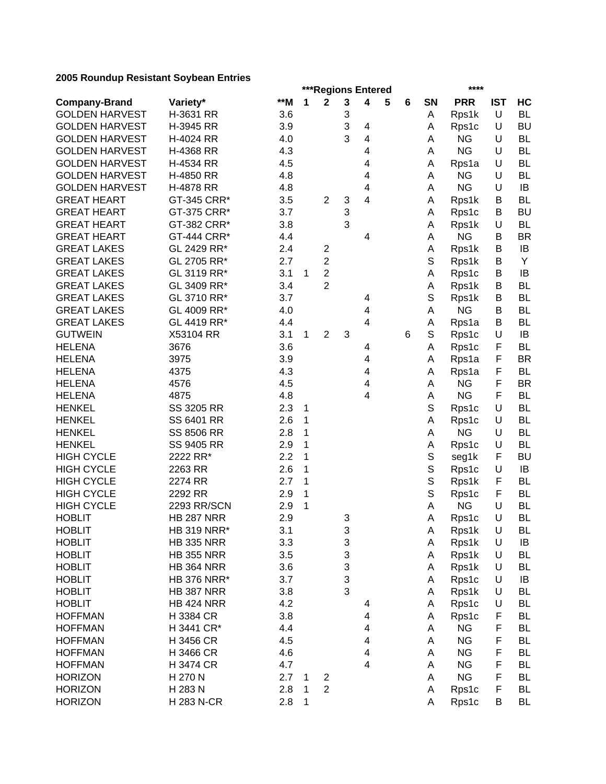|                       |                    |       |   | ***Regions Entered      |        |   |   |   |    | ****       |            |           |
|-----------------------|--------------------|-------|---|-------------------------|--------|---|---|---|----|------------|------------|-----------|
| <b>Company-Brand</b>  | Variety*           | $*$ M | 1 | $\mathbf{2}$            | 3      | 4 | 5 | 6 | SN | <b>PRR</b> | <b>IST</b> | HC        |
| <b>GOLDEN HARVEST</b> | H-3631 RR          | 3.6   |   |                         | 3      |   |   |   | Α  | Rps1k      | U          | <b>BL</b> |
| <b>GOLDEN HARVEST</b> | H-3945 RR          | 3.9   |   |                         | 3      | 4 |   |   | A  | Rps1c      | U          | <b>BU</b> |
| <b>GOLDEN HARVEST</b> | H-4024 RR          | 4.0   |   |                         | 3      | 4 |   |   | Α  | <b>NG</b>  | U          | <b>BL</b> |
| <b>GOLDEN HARVEST</b> | H-4368 RR          | 4.3   |   |                         |        | 4 |   |   | A  | <b>NG</b>  | U          | <b>BL</b> |
| <b>GOLDEN HARVEST</b> | H-4534 RR          | 4.5   |   |                         |        | 4 |   |   | Α  | Rps1a      | U          | <b>BL</b> |
| <b>GOLDEN HARVEST</b> | H-4850 RR          | 4.8   |   |                         |        | 4 |   |   | Α  | <b>NG</b>  | U          | <b>BL</b> |
| <b>GOLDEN HARVEST</b> | H-4878 RR          | 4.8   |   |                         |        | 4 |   |   | Α  | <b>NG</b>  | U          | IB        |
| <b>GREAT HEART</b>    | GT-345 CRR*        | 3.5   |   | $\overline{2}$          | 3      | 4 |   |   | Α  | Rps1k      | В          | <b>BL</b> |
| <b>GREAT HEART</b>    | GT-375 CRR*        | 3.7   |   |                         | 3      |   |   |   | Α  | Rps1c      | В          | <b>BU</b> |
| <b>GREAT HEART</b>    | GT-382 CRR*        | 3.8   |   |                         | 3      |   |   |   | A  | Rps1k      | U          | <b>BL</b> |
| <b>GREAT HEART</b>    | GT-444 CRR*        | 4.4   |   |                         |        | 4 |   |   | A  | <b>NG</b>  | В          | <b>BR</b> |
| <b>GREAT LAKES</b>    | GL 2429 RR*        | 2.4   |   | 2                       |        |   |   |   | A  | Rps1k      | В          | IB        |
| <b>GREAT LAKES</b>    | GL 2705 RR*        | 2.7   |   | $\overline{c}$          |        |   |   |   | S  | Rps1k      | В          | Y         |
| <b>GREAT LAKES</b>    | GL 3119 RR*        | 3.1   | 1 | $\overline{c}$          |        |   |   |   | Α  | Rps1c      | В          | IB        |
| <b>GREAT LAKES</b>    | GL 3409 RR*        | 3.4   |   | $\overline{2}$          |        |   |   |   | Α  | Rps1k      | В          | <b>BL</b> |
| <b>GREAT LAKES</b>    | GL 3710 RR*        | 3.7   |   |                         |        | 4 |   |   | S  | Rps1k      | В          | <b>BL</b> |
| <b>GREAT LAKES</b>    | GL 4009 RR*        | 4.0   |   |                         |        | 4 |   |   | A  | <b>NG</b>  | B          | <b>BL</b> |
| <b>GREAT LAKES</b>    | GL 4419 RR*        | 4.4   |   |                         |        | 4 |   |   | Α  | Rps1a      | B          | <b>BL</b> |
| <b>GUTWEIN</b>        | X53104 RR          | 3.1   | 1 | $\overline{2}$          | 3      |   |   | 6 | S  | Rps1c      | $\cup$     | IB        |
| <b>HELENA</b>         | 3676               | 3.6   |   |                         |        | 4 |   |   | Α  | Rps1c      | F          | BL        |
| <b>HELENA</b>         | 3975               | 3.9   |   |                         |        | 4 |   |   | Α  | Rps1a      | F          | <b>BR</b> |
| <b>HELENA</b>         | 4375               | 4.3   |   |                         |        | 4 |   |   | Α  | Rps1a      | F          | <b>BL</b> |
| <b>HELENA</b>         | 4576               | 4.5   |   |                         |        | 4 |   |   | Α  | <b>NG</b>  | F          | <b>BR</b> |
| <b>HELENA</b>         | 4875               | 4.8   |   |                         |        | 4 |   |   | Α  | <b>NG</b>  | F          | BL        |
| <b>HENKEL</b>         | SS 3205 RR         | 2.3   | 1 |                         |        |   |   |   | S  | Rps1c      | U          | <b>BL</b> |
| <b>HENKEL</b>         | SS 6401 RR         | 2.6   | 1 |                         |        |   |   |   | Α  | Rps1c      | U          | <b>BL</b> |
| <b>HENKEL</b>         | SS 8506 RR         | 2.8   | 1 |                         |        |   |   |   | A  | <b>NG</b>  | U          | <b>BL</b> |
| <b>HENKEL</b>         | SS 9405 RR         | 2.9   | 1 |                         |        |   |   |   | A  | Rps1c      | U          | <b>BL</b> |
| <b>HIGH CYCLE</b>     | 2222 RR*           | 2.2   | 1 |                         |        |   |   |   | S  | seg1k      | F          | <b>BU</b> |
| <b>HIGH CYCLE</b>     | 2263 RR            | 2.6   | 1 |                         |        |   |   |   | S  | Rps1c      | U          | IB        |
| <b>HIGH CYCLE</b>     | 2274 RR            | 2.7   | 1 |                         |        |   |   |   | S  | Rps1k      | F          | <b>BL</b> |
| <b>HIGH CYCLE</b>     | 2292 RR            | 2.9   | 1 |                         |        |   |   |   | S  | Rps1c      | F          | <b>BL</b> |
| <b>HIGH CYCLE</b>     | 2293 RR/SCN        | 2.9   | 1 |                         |        |   |   |   | Α  | <b>NG</b>  | U          | <b>BL</b> |
| <b>HOBLIT</b>         | <b>HB 287 NRR</b>  | 2.9   |   |                         | 3      |   |   |   | Α  |            | $\cup$     | <b>BL</b> |
| <b>HOBLIT</b>         | <b>HB 319 NRR*</b> | 3.1   |   |                         | 3      |   |   |   |    | Rps1c      | U          | BL        |
|                       |                    |       |   |                         |        |   |   |   | А  | Rps1k      | U          |           |
| <b>HOBLIT</b>         | <b>HB 335 NRR</b>  | 3.3   |   |                         | 3<br>3 |   |   |   | Α  | Rps1k      |            | IB        |
| <b>HOBLIT</b>         | <b>HB 355 NRR</b>  | 3.5   |   |                         |        |   |   |   | A  | Rps1k      | U          | <b>BL</b> |
| <b>HOBLIT</b>         | <b>HB 364 NRR</b>  | 3.6   |   |                         | 3      |   |   |   | Α  | Rps1k      | U          | <b>BL</b> |
| <b>HOBLIT</b>         | <b>HB 376 NRR*</b> | 3.7   |   |                         | 3      |   |   |   | A  | Rps1c      | U          | IB        |
| <b>HOBLIT</b>         | <b>HB 387 NRR</b>  | 3.8   |   |                         | 3      |   |   |   | Α  | Rps1k      | U          | <b>BL</b> |
| <b>HOBLIT</b>         | <b>HB 424 NRR</b>  | 4.2   |   |                         |        | 4 |   |   | A  | Rps1c      | U          | BL        |
| <b>HOFFMAN</b>        | H 3384 CR          | 3.8   |   |                         |        | 4 |   |   | Α  | Rps1c      | F          | <b>BL</b> |
| <b>HOFFMAN</b>        | H 3441 CR*         | 4.4   |   |                         |        | 4 |   |   | Α  | <b>NG</b>  | F          | BL        |
| <b>HOFFMAN</b>        | H 3456 CR          | 4.5   |   |                         |        | 4 |   |   | Α  | <b>NG</b>  | F          | <b>BL</b> |
| <b>HOFFMAN</b>        | H 3466 CR          | 4.6   |   |                         |        | 4 |   |   | Α  | <b>NG</b>  | F          | <b>BL</b> |
| <b>HOFFMAN</b>        | H 3474 CR          | 4.7   |   |                         |        | 4 |   |   | Α  | <b>NG</b>  | F          | <b>BL</b> |
| <b>HORIZON</b>        | H 270 N            | 2.7   | 1 | $\overline{\mathbf{c}}$ |        |   |   |   | А  | <b>NG</b>  | F          | <b>BL</b> |
| <b>HORIZON</b>        | H 283 N            | 2.8   | 1 | $\overline{2}$          |        |   |   |   | Α  | Rps1c      | F          | <b>BL</b> |
| <b>HORIZON</b>        | <b>H283 N-CR</b>   | 2.8   | 1 |                         |        |   |   |   | Α  | Rps1c      | B          | BL        |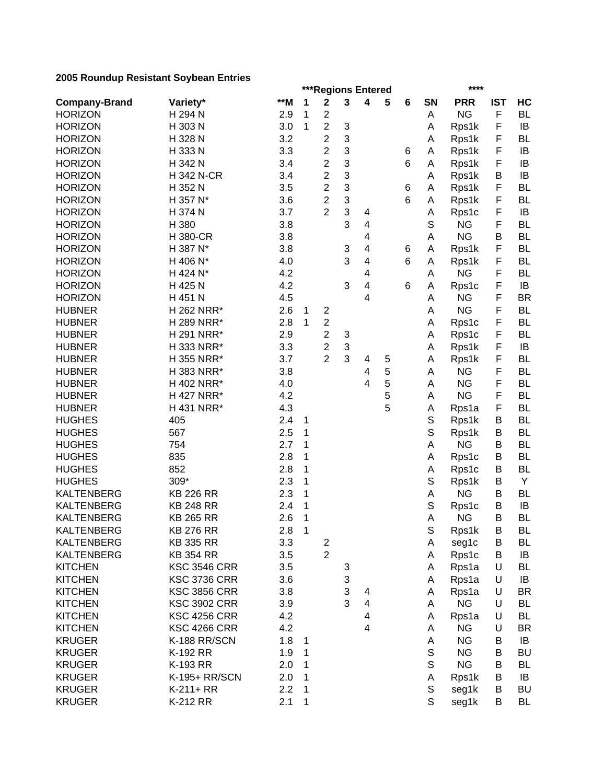|                      |                     |     |                |                |   | ***Regions Entered      |   |   |        | ****                   |            |           |
|----------------------|---------------------|-----|----------------|----------------|---|-------------------------|---|---|--------|------------------------|------------|-----------|
| <b>Company-Brand</b> | Variety*            | **M | 1              | $\mathbf 2$    | 3 | 4                       | 5 | 6 | SN     | <b>PRR</b>             | <b>IST</b> | HC        |
| <b>HORIZON</b>       | H 294 N             | 2.9 | 1              | $\overline{c}$ |   |                         |   |   | Α      | <b>NG</b>              | F          | <b>BL</b> |
| <b>HORIZON</b>       | H 303 N             | 3.0 | 1              | $\overline{c}$ | 3 |                         |   |   | А      | Rps1k                  | F          | IB        |
| <b>HORIZON</b>       | H 328 N             | 3.2 |                | $\overline{c}$ | 3 |                         |   |   | А      | Rps1k                  | F          | <b>BL</b> |
| <b>HORIZON</b>       | H 333 N             | 3.3 |                | $\overline{c}$ | 3 |                         |   | 6 | Α      | Rps1k                  | F          | IB        |
| <b>HORIZON</b>       | H 342 N             | 3.4 |                | $\overline{c}$ | 3 |                         |   | 6 | Α      | Rps1k                  | F          | IB        |
| <b>HORIZON</b>       | <b>H342 N-CR</b>    | 3.4 |                | $\overline{c}$ | 3 |                         |   |   | A      | Rps1k                  | B          | IB        |
| <b>HORIZON</b>       | H 352 N             | 3.5 |                | $\overline{2}$ | 3 |                         |   | 6 | Α      | Rps1k                  | F          | <b>BL</b> |
| <b>HORIZON</b>       | H 357 N*            | 3.6 |                | $\overline{c}$ | 3 |                         |   | 6 | A      | Rps1k                  | F          | <b>BL</b> |
| <b>HORIZON</b>       | H 374 N             | 3.7 |                | $\overline{2}$ | 3 | 4                       |   |   | А      | Rps1c                  | F          | IB        |
| <b>HORIZON</b>       | H 380               | 3.8 |                |                | 3 | 4                       |   |   | S      | <b>NG</b>              | F          | <b>BL</b> |
| <b>HORIZON</b>       | <b>H380-CR</b>      | 3.8 |                |                |   | 4                       |   |   | A      | <b>NG</b>              | В          | <b>BL</b> |
| <b>HORIZON</b>       | H 387 N*            | 3.8 |                |                | 3 | 4                       |   | 6 | A      | Rps1k                  | F          | <b>BL</b> |
| <b>HORIZON</b>       | H 406 N*            | 4.0 |                |                | 3 | 4                       |   | 6 | Α      | Rps1k                  | F          | <b>BL</b> |
| <b>HORIZON</b>       | H 424 N*            | 4.2 |                |                |   | 4                       |   |   | Α      | <b>NG</b>              | F          | <b>BL</b> |
| <b>HORIZON</b>       | H 425 N             | 4.2 |                |                | 3 | 4                       |   | 6 | Α      | Rps1c                  | F          | IB        |
| <b>HORIZON</b>       | H 451 N             | 4.5 |                |                |   | 4                       |   |   | А      | <b>NG</b>              | F          | <b>BR</b> |
| <b>HUBNER</b>        | H 262 NRR*          | 2.6 | 1              | $\overline{c}$ |   |                         |   |   | А      | <b>NG</b>              | F          | <b>BL</b> |
| <b>HUBNER</b>        | H 289 NRR*          | 2.8 | 1              | $\overline{c}$ |   |                         |   |   | Α      | Rps1c                  | F          | <b>BL</b> |
| <b>HUBNER</b>        | H 291 NRR*          | 2.9 |                | $\overline{2}$ | 3 |                         |   |   | Α      | Rps1c                  | F          | <b>BL</b> |
| <b>HUBNER</b>        | H 333 NRR*          | 3.3 |                | $\overline{c}$ | 3 |                         |   |   | Α      | Rps1k                  | F          | IB        |
| <b>HUBNER</b>        | H 355 NRR*          | 3.7 |                | $\overline{2}$ | 3 | 4                       | 5 |   | А      | Rps1k                  | F          | <b>BL</b> |
| <b>HUBNER</b>        | H 383 NRR*          | 3.8 |                |                |   | 4                       | 5 |   | Α      | <b>NG</b>              | F          | <b>BL</b> |
| <b>HUBNER</b>        | H 402 NRR*          | 4.0 |                |                |   | 4                       | 5 |   | А      | <b>NG</b>              | F          | <b>BL</b> |
| <b>HUBNER</b>        | H 427 NRR*          | 4.2 |                |                |   |                         | 5 |   | Α      | <b>NG</b>              | F          | <b>BL</b> |
| <b>HUBNER</b>        | H 431 NRR*          | 4.3 |                |                |   |                         | 5 |   | А      | Rps1a                  | F          | <b>BL</b> |
| <b>HUGHES</b>        | 405                 | 2.4 | 1              |                |   |                         |   |   | S      | Rps1k                  | В          | <b>BL</b> |
| <b>HUGHES</b>        | 567                 | 2.5 | 1              |                |   |                         |   |   | S      | Rps1k                  | B          | <b>BL</b> |
| <b>HUGHES</b>        | 754                 | 2.7 | 1              |                |   |                         |   |   | A      | <b>NG</b>              | В          | <b>BL</b> |
| <b>HUGHES</b>        | 835                 | 2.8 | 1              |                |   |                         |   |   | Α      | Rps1c                  | В          | <b>BL</b> |
| <b>HUGHES</b>        | 852                 | 2.8 | 1              |                |   |                         |   |   | А      | Rps1c                  | В          | <b>BL</b> |
| <b>HUGHES</b>        | 309*                | 2.3 | 1              |                |   |                         |   |   | S      | Rps1k                  | В          | Y         |
| <b>KALTENBERG</b>    | <b>KB 226 RR</b>    | 2.3 | 1              |                |   |                         |   |   | А      | <b>NG</b>              | B          | <b>BL</b> |
| <b>KALTENBERG</b>    | <b>KB 248 RR</b>    | 2.4 | 1              |                |   |                         |   |   | S      | Rps1c                  | B          | IB        |
| <b>KALTENBERG</b>    | <b>KB 265 RR</b>    | 2.6 | 1              |                |   |                         |   |   | А      | <b>NG</b>              | B          | <b>BL</b> |
| <b>KALTENBERG</b>    | <b>KB 276 RR</b>    | 2.8 | $\overline{1}$ |                |   |                         |   |   | S      | Rps1k                  | В          | BL        |
| <b>KALTENBERG</b>    | <b>KB 335 RR</b>    | 3.3 |                | $\overline{2}$ |   |                         |   |   | A      | seg1c                  | B          | BL        |
| <b>KALTENBERG</b>    | <b>KB 354 RR</b>    | 3.5 |                | $\overline{2}$ |   |                         |   |   | A      | Rps1c                  | B          | IB        |
| <b>KITCHEN</b>       | <b>KSC 3546 CRR</b> | 3.5 |                |                | 3 |                         |   |   | Α      | Rps1a                  | U          | <b>BL</b> |
| <b>KITCHEN</b>       | <b>KSC 3736 CRR</b> | 3.6 |                |                | 3 |                         |   |   | Α      | Rps1a                  | U          | IB        |
| <b>KITCHEN</b>       | <b>KSC 3856 CRR</b> | 3.8 |                |                | 3 | 4                       |   |   | Α      | Rps1a                  | U          | <b>BR</b> |
| <b>KITCHEN</b>       | <b>KSC 3902 CRR</b> | 3.9 |                |                | 3 | $\overline{\mathbf{4}}$ |   |   | A      | <b>NG</b>              | U          | <b>BL</b> |
| <b>KITCHEN</b>       | <b>KSC 4256 CRR</b> | 4.2 |                |                |   | 4                       |   |   | Α      | Rps1a                  | U          | <b>BL</b> |
| <b>KITCHEN</b>       | <b>KSC 4266 CRR</b> | 4.2 |                |                |   | 4                       |   |   | Α      | <b>NG</b>              | U          | BR        |
| <b>KRUGER</b>        | K-188 RR/SCN        | 1.8 |                |                |   |                         |   |   |        | <b>NG</b>              | В          | IB        |
|                      |                     |     | 1              |                |   |                         |   |   | Α      |                        |            |           |
| <b>KRUGER</b>        | K-192 RR            | 1.9 | 1              |                |   |                         |   |   | S<br>S | <b>NG</b><br><b>NG</b> | В          | BU        |
| <b>KRUGER</b>        | K-193 RR            | 2.0 | 1              |                |   |                         |   |   |        |                        | В          | <b>BL</b> |
| <b>KRUGER</b>        | K-195+ RR/SCN       | 2.0 | 1              |                |   |                         |   |   | Α      | Rps1k                  | В          | IB        |
| <b>KRUGER</b>        | $K-211+RR$          | 2.2 | 1              |                |   |                         |   |   | S      | seg1k                  | В          | <b>BU</b> |
| <b>KRUGER</b>        | K-212 RR            | 2.1 | 1              |                |   |                         |   |   | S      | seg1k                  | В          | <b>BL</b> |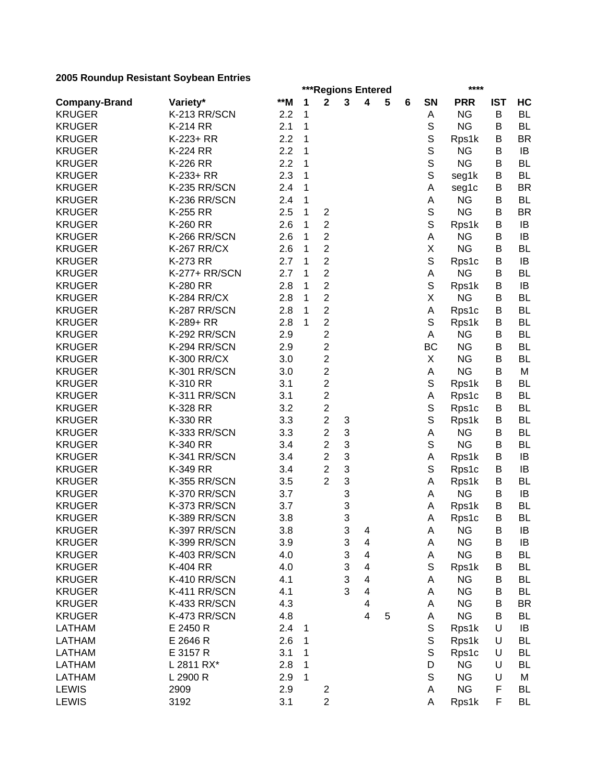|                      |                    |       |   | ***Regions Entered      |   |                         |   |   |             | ****       |            |           |
|----------------------|--------------------|-------|---|-------------------------|---|-------------------------|---|---|-------------|------------|------------|-----------|
| <b>Company-Brand</b> | Variety*           | $**M$ | 1 | $\mathbf{2}$            | 3 | 4                       | 5 | 6 | SN          | <b>PRR</b> | <b>IST</b> | HC        |
| <b>KRUGER</b>        | K-213 RR/SCN       | 2.2   | 1 |                         |   |                         |   |   | Α           | <b>NG</b>  | B          | <b>BL</b> |
| <b>KRUGER</b>        | <b>K-214 RR</b>    | 2.1   | 1 |                         |   |                         |   |   | $\mathbb S$ | <b>NG</b>  | B          | <b>BL</b> |
| <b>KRUGER</b>        | K-223+ RR          | 2.2   | 1 |                         |   |                         |   |   | $\mathbb S$ | Rps1k      | B          | <b>BR</b> |
| <b>KRUGER</b>        | <b>K-224 RR</b>    | 2.2   | 1 |                         |   |                         |   |   | $\mathbb S$ | <b>NG</b>  | B          | IB        |
| <b>KRUGER</b>        | K-226 RR           | 2.2   | 1 |                         |   |                         |   |   | S           | <b>NG</b>  | В          | <b>BL</b> |
| <b>KRUGER</b>        | K-233+ RR          | 2.3   | 1 |                         |   |                         |   |   | $\mathbb S$ | seg1k      | В          | <b>BL</b> |
| <b>KRUGER</b>        | K-235 RR/SCN       | 2.4   | 1 |                         |   |                         |   |   | Α           | seg1c      | B          | <b>BR</b> |
| <b>KRUGER</b>        | K-236 RR/SCN       | 2.4   | 1 |                         |   |                         |   |   | Α           | <b>NG</b>  | B          | <b>BL</b> |
| <b>KRUGER</b>        | K-255 RR           | 2.5   | 1 | $\overline{\mathbf{c}}$ |   |                         |   |   | $\mathbb S$ | <b>NG</b>  | B          | <b>BR</b> |
| <b>KRUGER</b>        | K-260 RR           | 2.6   | 1 | $\overline{c}$          |   |                         |   |   | $\mathbb S$ | Rps1k      | В          | IB        |
| <b>KRUGER</b>        | K-266 RR/SCN       | 2.6   | 1 | $\overline{2}$          |   |                         |   |   | Α           | <b>NG</b>  | В          | IB        |
| <b>KRUGER</b>        | <b>K-267 RR/CX</b> | 2.6   | 1 | $\overline{2}$          |   |                         |   |   | Χ           | <b>NG</b>  | В          | <b>BL</b> |
| <b>KRUGER</b>        | <b>K-273 RR</b>    | 2.7   | 1 | $\overline{c}$          |   |                         |   |   | $\mathbb S$ | Rps1c      | В          | IB        |
| <b>KRUGER</b>        | K-277+ RR/SCN      | 2.7   | 1 | $\overline{c}$          |   |                         |   |   | Α           | <b>NG</b>  | B          | <b>BL</b> |
| <b>KRUGER</b>        | <b>K-280 RR</b>    | 2.8   | 1 | $\overline{c}$          |   |                         |   |   | S           | Rps1k      | В          | IB        |
| <b>KRUGER</b>        | <b>K-284 RR/CX</b> | 2.8   | 1 | $\overline{c}$          |   |                         |   |   | X           | <b>NG</b>  | B          | <b>BL</b> |
| <b>KRUGER</b>        | K-287 RR/SCN       | 2.8   | 1 | $\overline{c}$          |   |                         |   |   | А           | Rps1c      | B          | <b>BL</b> |
| <b>KRUGER</b>        | K-289+ RR          | 2.8   | 1 | $\overline{c}$          |   |                         |   |   | S           | Rps1k      | B          | <b>BL</b> |
| <b>KRUGER</b>        | K-292 RR/SCN       | 2.9   |   | $\overline{c}$          |   |                         |   |   | A           | <b>NG</b>  | B          | <b>BL</b> |
| <b>KRUGER</b>        | K-294 RR/SCN       | 2.9   |   | $\overline{c}$          |   |                         |   |   | <b>BC</b>   | <b>NG</b>  | B          | <b>BL</b> |
| <b>KRUGER</b>        | <b>K-300 RR/CX</b> | 3.0   |   | $\overline{c}$          |   |                         |   |   | X           | <b>NG</b>  | B          | <b>BL</b> |
| <b>KRUGER</b>        | K-301 RR/SCN       | 3.0   |   | $\overline{c}$          |   |                         |   |   | Α           | <b>NG</b>  | В          | M         |
| <b>KRUGER</b>        | K-310 RR           | 3.1   |   | $\overline{2}$          |   |                         |   |   | S           | Rps1k      | B          | <b>BL</b> |
| <b>KRUGER</b>        | K-311 RR/SCN       | 3.1   |   | $\overline{\mathbf{c}}$ |   |                         |   |   | Α           | Rps1c      | B          | <b>BL</b> |
| <b>KRUGER</b>        | K-328 RR           | 3.2   |   | $\overline{2}$          |   |                         |   |   | $\mathbb S$ | Rps1c      | B          | <b>BL</b> |
| <b>KRUGER</b>        | K-330 RR           | 3.3   |   | $\overline{2}$          | 3 |                         |   |   | $\mathbb S$ | Rps1k      | В          | <b>BL</b> |
| <b>KRUGER</b>        | K-333 RR/SCN       | 3.3   |   | $\overline{c}$          | 3 |                         |   |   | А           | <b>NG</b>  | В          | <b>BL</b> |
| <b>KRUGER</b>        | K-340 RR           | 3.4   |   | $\overline{2}$          | 3 |                         |   |   | S           | <b>NG</b>  | В          | <b>BL</b> |
| <b>KRUGER</b>        | K-341 RR/SCN       | 3.4   |   | $\overline{2}$          | 3 |                         |   |   | Α           | Rps1k      | В          | IB        |
| <b>KRUGER</b>        | K-349 RR           | 3.4   |   | $\overline{2}$          | 3 |                         |   |   | S           | Rps1c      | В          | IB        |
| <b>KRUGER</b>        | K-355 RR/SCN       | 3.5   |   | $\overline{2}$          | 3 |                         |   |   | A           | Rps1k      | В          | <b>BL</b> |
| <b>KRUGER</b>        | K-370 RR/SCN       | 3.7   |   |                         | 3 |                         |   |   | Α           | <b>NG</b>  | B          | IB        |
| <b>KRUGER</b>        | K-373 RR/SCN       | 3.7   |   |                         | 3 |                         |   |   | Α           | Rps1k      | B          | <b>BL</b> |
| <b>KRUGER</b>        | K-389 RR/SCN       | 3.8   |   |                         | 3 |                         |   |   | A           | Rps1c      | B          | <b>BL</b> |
| <b>KRUGER</b>        | K-397 RR/SCN       | 3.8   |   |                         | 3 | 4                       |   |   | А           | <b>NG</b>  | В          | IB        |
| <b>KRUGER</b>        | K-399 RR/SCN       | 3.9   |   |                         | 3 | 4                       |   |   | Α           | <b>NG</b>  | B          | IB        |
| <b>KRUGER</b>        | K-403 RR/SCN       | 4.0   |   |                         | 3 | $\overline{\mathbf{4}}$ |   |   | Α           | <b>NG</b>  | B          | <b>BL</b> |
| <b>KRUGER</b>        | K-404 RR           | 4.0   |   |                         | 3 | $\overline{\mathbf{4}}$ |   |   | S           | Rps1k      | В          | <b>BL</b> |
| <b>KRUGER</b>        | K-410 RR/SCN       | 4.1   |   |                         | 3 | 4                       |   |   | Α           | <b>NG</b>  | В          | <b>BL</b> |
| <b>KRUGER</b>        | K-411 RR/SCN       | 4.1   |   |                         | 3 | 4                       |   |   | Α           | <b>NG</b>  | В          | <b>BL</b> |
| <b>KRUGER</b>        | K-433 RR/SCN       | 4.3   |   |                         |   | 4                       |   |   | Α           | <b>NG</b>  | B          | <b>BR</b> |
| <b>KRUGER</b>        | K-473 RR/SCN       | 4.8   |   |                         |   | $\overline{4}$          | 5 |   | Α           | <b>NG</b>  | B          | BL        |
| <b>LATHAM</b>        | E 2450 R           | 2.4   | 1 |                         |   |                         |   |   | S           | Rps1k      | U          | IB        |
| <b>LATHAM</b>        | E 2646 R           | 2.6   | 1 |                         |   |                         |   |   | S           | Rps1k      | U          | <b>BL</b> |
| <b>LATHAM</b>        | E 3157 R           | 3.1   | 1 |                         |   |                         |   |   | S           | Rps1c      | U          | BL        |
| LATHAM               | L 2811 RX*         | 2.8   | 1 |                         |   |                         |   |   | D           | <b>NG</b>  | U          | <b>BL</b> |
| <b>LATHAM</b>        | L 2900 R           | 2.9   | 1 |                         |   |                         |   |   | S           | <b>NG</b>  | U          | M         |
| <b>LEWIS</b>         |                    | 2.9   |   |                         |   |                         |   |   | Α           | <b>NG</b>  | F          | <b>BL</b> |
|                      | 2909               |       |   | $\overline{\mathbf{c}}$ |   |                         |   |   |             |            |            |           |
| <b>LEWIS</b>         | 3192               | 3.1   |   | $\overline{2}$          |   |                         |   |   | Α           | Rps1k      | F          | <b>BL</b> |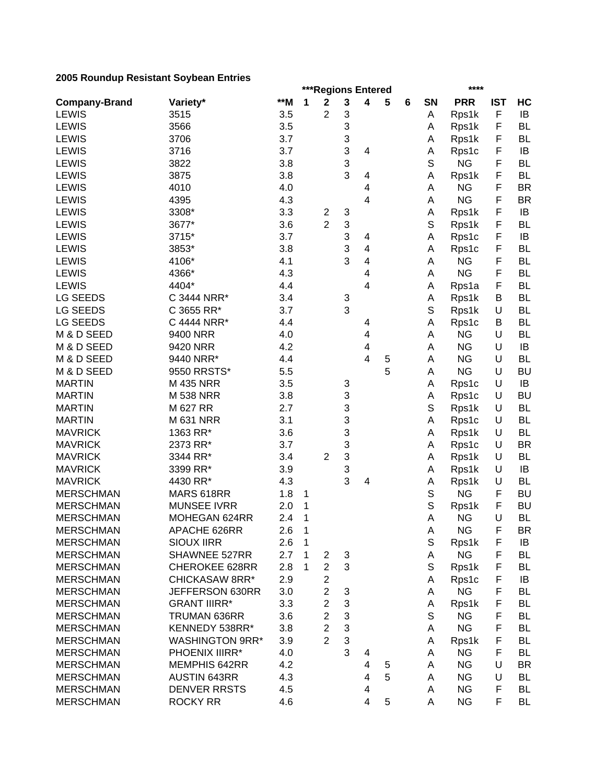|                      |                        |       |              |                         |              | ***Regions Entered |   |   |           | ****           |            |                 |
|----------------------|------------------------|-------|--------------|-------------------------|--------------|--------------------|---|---|-----------|----------------|------------|-----------------|
| <b>Company-Brand</b> | Variety*               | $**M$ | 1            | $\mathbf 2$             | $\mathbf{3}$ | 4                  | 5 | 6 | <b>SN</b> | <b>PRR</b>     | <b>IST</b> | HC              |
| <b>LEWIS</b>         | 3515                   | 3.5   |              | 2                       | 3            |                    |   |   | Α         | Rps1k          | F          | IB              |
| <b>LEWIS</b>         | 3566                   | 3.5   |              |                         | 3            |                    |   |   | Α         | Rps1k          | F          | <b>BL</b>       |
| <b>LEWIS</b>         | 3706                   | 3.7   |              |                         | 3            |                    |   |   | Α         | Rps1k          | F          | <b>BL</b>       |
| <b>LEWIS</b>         | 3716                   | 3.7   |              |                         | 3            | 4                  |   |   | Α         | Rps1c          | F          | IB              |
| <b>LEWIS</b>         | 3822                   | 3.8   |              |                         | 3            |                    |   |   | S         | <b>NG</b>      | F          | <b>BL</b>       |
| <b>LEWIS</b>         | 3875                   | 3.8   |              |                         | 3            | 4                  |   |   | Α         | Rps1k          | F          | <b>BL</b>       |
| <b>LEWIS</b>         | 4010                   | 4.0   |              |                         |              | 4                  |   |   | Α         | <b>NG</b>      | F          | <b>BR</b>       |
| <b>LEWIS</b>         | 4395                   | 4.3   |              |                         |              | 4                  |   |   | A         | <b>NG</b>      | F          | <b>BR</b>       |
| <b>LEWIS</b>         | 3308*                  | 3.3   |              | $\overline{\mathbf{c}}$ | 3            |                    |   |   | Α         | Rps1k          | F          | IB              |
| <b>LEWIS</b>         | 3677*                  | 3.6   |              | $\overline{2}$          | 3            |                    |   |   | S         | Rps1k          | F          | <b>BL</b>       |
| <b>LEWIS</b>         | 3715*                  | 3.7   |              |                         | 3            | 4                  |   |   | A         | Rps1c          | F          | IB              |
| <b>LEWIS</b>         | 3853*                  | 3.8   |              |                         | 3            | 4                  |   |   | А         | Rps1c          | F          | <b>BL</b>       |
| <b>LEWIS</b>         | 4106*                  | 4.1   |              |                         | 3            | 4                  |   |   | A         | <b>NG</b>      | F          | <b>BL</b>       |
| <b>LEWIS</b>         | 4366*                  | 4.3   |              |                         |              | 4                  |   |   | А         | <b>NG</b>      | F          | <b>BL</b>       |
| <b>LEWIS</b>         | 4404*                  | 4.4   |              |                         |              | 4                  |   |   | А         | Rps1a          | F          | <b>BL</b>       |
| LG SEEDS             | C 3444 NRR*            | 3.4   |              |                         | 3            |                    |   |   | Α         | Rps1k          | B          | <b>BL</b>       |
| LG SEEDS             | C 3655 RR*             | 3.7   |              |                         | 3            |                    |   |   | S         | Rps1k          | U          | <b>BL</b>       |
| <b>LG SEEDS</b>      | C 4444 NRR*            | 4.4   |              |                         |              | 4                  |   |   | А         | Rps1c          | В          | <b>BL</b>       |
| M & D SEED           | 9400 NRR               | 4.0   |              |                         |              | 4                  |   |   | Α         | <b>NG</b>      | U          | <b>BL</b>       |
| M & D SEED           | 9420 NRR               | 4.2   |              |                         |              | 4                  |   |   | A         | <b>NG</b>      | U          | IB              |
| M & D SEED           | 9440 NRR*              | 4.4   |              |                         |              | 4                  | 5 |   | A         | <b>NG</b>      | U          | <b>BL</b>       |
| M & D SEED           | 9550 RRSTS*            | 5.5   |              |                         |              |                    | 5 |   | A         | <b>NG</b>      | U          | <b>BU</b>       |
| <b>MARTIN</b>        | M 435 NRR              | 3.5   |              |                         |              |                    |   |   |           |                | U          | IB              |
| <b>MARTIN</b>        | <b>M 538 NRR</b>       | 3.8   |              |                         | 3<br>3       |                    |   |   | Α         | Rps1c          | U          | <b>BU</b>       |
| <b>MARTIN</b>        | M 627 RR               | 2.7   |              |                         | 3            |                    |   |   | А<br>S    | Rps1c<br>Rps1k | U          | <b>BL</b>       |
| <b>MARTIN</b>        | <b>M 631 NRR</b>       | 3.1   |              |                         | 3            |                    |   |   | A         | Rps1c          | U          | <b>BL</b>       |
| <b>MAVRICK</b>       | 1363 RR*               | 3.6   |              |                         | 3            |                    |   |   |           |                | U          | <b>BL</b>       |
| <b>MAVRICK</b>       | 2373 RR*               | 3.7   |              |                         | 3            |                    |   |   | Α         | Rps1k          | U          | <b>BR</b>       |
| <b>MAVRICK</b>       | 3344 RR*               | 3.4   |              | $\overline{2}$          | 3            |                    |   |   | Α         | Rps1c          | U          | <b>BL</b>       |
| <b>MAVRICK</b>       |                        |       |              |                         |              |                    |   |   | Α         | Rps1k          |            |                 |
|                      | 3399 RR*               | 3.9   |              |                         | 3<br>3       |                    |   |   | Α         | Rps1k          | U<br>U     | IB<br><b>BL</b> |
| <b>MAVRICK</b>       | 4430 RR*               | 4.3   |              |                         |              | 4                  |   |   | Α         | Rps1k          |            |                 |
| <b>MERSCHMAN</b>     | MARS 618RR             | 1.8   | 1            |                         |              |                    |   |   | S         | <b>NG</b>      | F          | <b>BU</b>       |
| <b>MERSCHMAN</b>     | <b>MUNSEE IVRR</b>     | 2.0   | 1            |                         |              |                    |   |   | S         | Rps1k          | F          | <b>BU</b>       |
| <b>MERSCHMAN</b>     | MOHEGAN 624RR          | 2.4   | 1            |                         |              |                    |   |   | А         | <b>NG</b>      | U          | <b>BL</b>       |
| <b>MERSCHMAN</b>     | APACHE 626RR           | 2.6   | $\mathbf{1}$ |                         |              |                    |   |   | А         | <b>NG</b>      | F          | <b>BR</b>       |
| <b>MERSCHMAN</b>     | <b>SIOUX IIRR</b>      | 2.6   | 1            |                         |              |                    |   |   | S         | Rps1k          | F          | IB              |
| <b>MERSCHMAN</b>     | SHAWNEE 527RR          | 2.7   | 1            | $\overline{c}$          | 3            |                    |   |   | Α         | <b>NG</b>      | F          | <b>BL</b>       |
| <b>MERSCHMAN</b>     | <b>CHEROKEE 628RR</b>  | 2.8   | 1            | $\overline{2}$          | 3            |                    |   |   | S         | Rps1k          | F          | BL              |
| <b>MERSCHMAN</b>     | CHICKASAW 8RR*         | 2.9   |              | $\overline{\mathbf{c}}$ |              |                    |   |   | A         | Rps1c          | F          | IB              |
| <b>MERSCHMAN</b>     | JEFFERSON 630RR        | 3.0   |              | $\overline{2}$          | 3            |                    |   |   | A         | <b>NG</b>      | F          | <b>BL</b>       |
| <b>MERSCHMAN</b>     | <b>GRANT IIIRR*</b>    | 3.3   |              | $\overline{c}$          | 3            |                    |   |   | Α         | Rps1k          | F          | BL              |
| <b>MERSCHMAN</b>     | TRUMAN 636RR           | 3.6   |              | $\overline{2}$          | 3            |                    |   |   | S         | <b>NG</b>      | F          | <b>BL</b>       |
| <b>MERSCHMAN</b>     | KENNEDY 538RR*         | 3.8   |              | $\overline{2}$          | 3            |                    |   |   | A         | <b>NG</b>      | F          | <b>BL</b>       |
| <b>MERSCHMAN</b>     | <b>WASHINGTON 9RR*</b> | 3.9   |              | $\overline{2}$          | 3            |                    |   |   | Α         | Rps1k          | F          | <b>BL</b>       |
| <b>MERSCHMAN</b>     | PHOENIX IIIRR*         | 4.0   |              |                         | 3            | 4                  |   |   | A         | <b>NG</b>      | F          | <b>BL</b>       |
| <b>MERSCHMAN</b>     | <b>MEMPHIS 642RR</b>   | 4.2   |              |                         |              | 4                  | 5 |   | Α         | <b>NG</b>      | U          | <b>BR</b>       |
| <b>MERSCHMAN</b>     | <b>AUSTIN 643RR</b>    | 4.3   |              |                         |              | 4                  | 5 |   | A         | <b>NG</b>      | U          | <b>BL</b>       |
| <b>MERSCHMAN</b>     | <b>DENVER RRSTS</b>    | 4.5   |              |                         |              | 4                  |   |   | Α         | <b>NG</b>      | F          | <b>BL</b>       |
| <b>MERSCHMAN</b>     | <b>ROCKY RR</b>        | 4.6   |              |                         |              | 4                  | 5 |   | Α         | <b>NG</b>      | F          | BL              |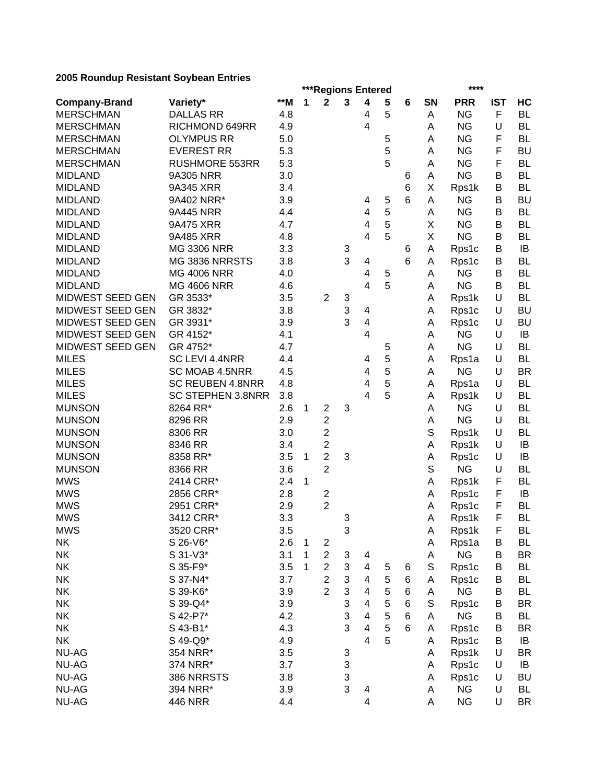|                         |                          |            |   | ***Regions Entered |                           |                          |   |   |    | ****       |            |           |
|-------------------------|--------------------------|------------|---|--------------------|---------------------------|--------------------------|---|---|----|------------|------------|-----------|
| <b>Company-Brand</b>    | Variety*                 | $*$ M      | 1 | $\mathbf 2$        | 3                         | $\overline{\mathbf{4}}$  | 5 | 6 | SN | <b>PRR</b> | <b>IST</b> | HC        |
| <b>MERSCHMAN</b>        | <b>DALLAS RR</b>         | 4.8        |   |                    |                           | 4                        | 5 |   | A  | <b>NG</b>  | F          | <b>BL</b> |
| <b>MERSCHMAN</b>        | RICHMOND 649RR           | 4.9        |   |                    |                           | 4                        |   |   | Α  | <b>NG</b>  | U          | <b>BL</b> |
| <b>MERSCHMAN</b>        | <b>OLYMPUS RR</b>        | 5.0        |   |                    |                           |                          | 5 |   | А  | <b>NG</b>  | F          | <b>BL</b> |
| <b>MERSCHMAN</b>        | <b>EVEREST RR</b>        | 5.3        |   |                    |                           |                          | 5 |   | Α  | <b>NG</b>  | F          | <b>BU</b> |
| <b>MERSCHMAN</b>        | <b>RUSHMORE 553RR</b>    | 5.3        |   |                    |                           |                          | 5 |   | A  | <b>NG</b>  | F          | <b>BL</b> |
| <b>MIDLAND</b>          | 9A305 NRR                | 3.0        |   |                    |                           |                          |   | 6 | А  | <b>NG</b>  | B          | <b>BL</b> |
| <b>MIDLAND</b>          | 9A345 XRR                | 3.4        |   |                    |                           |                          |   | 6 | Χ  | Rps1k      | В          | <b>BL</b> |
| <b>MIDLAND</b>          | 9A402 NRR*               | 3.9        |   |                    |                           | 4                        | 5 | 6 | Α  | <b>NG</b>  | B          | <b>BU</b> |
| <b>MIDLAND</b>          | 9A445 NRR                | 4.4        |   |                    |                           | 4                        | 5 |   | Α  | <b>NG</b>  | B          | <b>BL</b> |
| <b>MIDLAND</b>          | 9A475 XRR                | 4.7        |   |                    |                           | 4                        | 5 |   | Χ  | <b>NG</b>  | B          | <b>BL</b> |
| <b>MIDLAND</b>          | 9A485 XRR                | 4.8        |   |                    |                           | 4                        | 5 |   | Χ  | <b>NG</b>  | В          | <b>BL</b> |
| <b>MIDLAND</b>          | <b>MG 3306 NRR</b>       | 3.3        |   |                    | 3                         |                          |   | 6 | A  | Rps1c      | В          | IB        |
| <b>MIDLAND</b>          | MG 3836 NRRSTS           | 3.8        |   |                    | 3                         | 4                        |   | 6 | A  | Rps1c      | В          | <b>BL</b> |
| <b>MIDLAND</b>          | <b>MG 4006 NRR</b>       | 4.0        |   |                    |                           | 4                        | 5 |   | A  | <b>NG</b>  | B          | <b>BL</b> |
| <b>MIDLAND</b>          | <b>MG 4606 NRR</b>       | 4.6        |   |                    |                           | 4                        | 5 |   | Α  | <b>NG</b>  | B          | <b>BL</b> |
| MIDWEST SEED GEN        | GR 3533*                 | 3.5        |   | $\overline{2}$     | 3                         |                          |   |   | Α  | Rps1k      | U          | <b>BL</b> |
| MIDWEST SEED GEN        | GR 3832*                 | 3.8        |   |                    | 3                         | 4                        |   |   | Α  | Rps1c      | U          | <b>BU</b> |
| MIDWEST SEED GEN        | GR 3931*                 | 3.9        |   |                    | 3                         | 4                        |   |   | A  | Rps1c      | U          | <b>BU</b> |
| <b>MIDWEST SEED GEN</b> | GR 4152*                 | 4.1        |   |                    |                           | 4                        |   |   | Α  | <b>NG</b>  | U          | IB        |
| MIDWEST SEED GEN        | GR 4752*                 | 4.7        |   |                    |                           |                          | 5 |   | A  | <b>NG</b>  | U          | <b>BL</b> |
| <b>MILES</b>            | SC LEVI 4.4NRR           | 4.4        |   |                    |                           | 4                        | 5 |   | Α  | Rps1a      | U          | <b>BL</b> |
| <b>MILES</b>            | SC MOAB 4.5NRR           | 4.5        |   |                    |                           | 4                        | 5 |   | Α  | <b>NG</b>  | U          | <b>BR</b> |
| <b>MILES</b>            | SC REUBEN 4.8NRR         | 4.8        |   |                    |                           | 4                        | 5 |   | Α  | Rps1a      | U          | <b>BL</b> |
| <b>MILES</b>            | <b>SC STEPHEN 3.8NRR</b> | 3.8        |   |                    |                           | $\overline{4}$           | 5 |   | Α  | Rps1k      | U          | <b>BL</b> |
| <b>MUNSON</b>           | 8264 RR*                 | 2.6        | 1 | $\overline{2}$     | 3                         |                          |   |   | Α  | <b>NG</b>  | U          | <b>BL</b> |
| <b>MUNSON</b>           | 8296 RR                  | 2.9        |   | $\overline{c}$     |                           |                          |   |   | А  | <b>NG</b>  | U          | <b>BL</b> |
| <b>MUNSON</b>           | 8306 RR                  | 3.0        |   | $\overline{c}$     |                           |                          |   |   | S  | Rps1k      | U          | <b>BL</b> |
| <b>MUNSON</b>           | 8346 RR                  | 3.4        |   | $\overline{2}$     |                           |                          |   |   | A  | Rps1k      | U          | IB        |
| <b>MUNSON</b>           | 8358 RR*                 | 3.5        | 1 | $\overline{2}$     | 3                         |                          |   |   | A  | Rps1c      | U          | IB        |
| <b>MUNSON</b>           | 8366 RR                  | 3.6        |   | $\overline{2}$     |                           |                          |   |   | S  | <b>NG</b>  | U          | <b>BL</b> |
| <b>MWS</b>              | 2414 CRR*                | 2.4        | 1 |                    |                           |                          |   |   | A  | Rps1k      | F          | <b>BL</b> |
| <b>MWS</b>              | 2856 CRR*                | 2.8        |   | $\overline{c}$     |                           |                          |   |   | Α  | Rps1c      | F          | IB        |
| <b>MWS</b>              | 2951 CRR*                |            |   | $\overline{2}$     |                           |                          |   |   |    |            | F          | <b>BL</b> |
| <b>MWS</b>              | 3412 CRR*                | 2.9<br>3.3 |   |                    |                           |                          |   |   | Α  | Rps1c      | F          | <b>BL</b> |
|                         |                          |            |   |                    | 3<br>3                    |                          |   |   | Α  | Rps1k      |            |           |
| <b>MWS</b>              | 3520 CRR*                | 3.5        |   |                    |                           |                          |   |   | A  | Rps1k      | F.         | BL        |
| NK                      | S 26-V6*                 | 2.6        | 1 | $\overline{c}$     |                           |                          |   |   | Α  | Rps1a      | B          | <b>BL</b> |
| <b>NK</b>               | S 31-V3*                 | 3.1        | 1 | $\overline{c}$     | 3                         | 4                        |   |   | Α  | <b>NG</b>  | B          | <b>BR</b> |
| <b>NK</b>               | S 35-F9*                 | 3.5        | 1 | $\overline{c}$     | $\ensuremath{\mathsf{3}}$ | $\overline{\mathcal{A}}$ | 5 | 6 | S  | Rps1c      | B          | <b>BL</b> |
| <b>NK</b>               | S 37-N4*                 | 3.7        |   | $\overline{c}$     | 3                         | 4                        | 5 | 6 | Α  | Rps1c      | B          | <b>BL</b> |
| <b>NK</b>               | S 39-K6*                 | 3.9        |   | $\overline{2}$     | 3                         | 4                        | 5 | 6 | Α  | <b>NG</b>  | B          | <b>BL</b> |
| <b>NK</b>               | S 39-Q4*                 | 3.9        |   |                    | 3                         | 4                        | 5 | 6 | S  | Rps1c      | B          | <b>BR</b> |
| <b>NK</b>               | S 42-P7*                 | 4.2        |   |                    | 3                         | 4                        | 5 | 6 | Α  | <b>NG</b>  | B          | <b>BL</b> |
| <b>NK</b>               | S 43-B1*                 | 4.3        |   |                    | 3                         | 4                        | 5 | 6 | A  | Rps1c      | В          | <b>BR</b> |
| <b>NK</b>               | S 49-Q9*                 | 4.9        |   |                    |                           | 4                        | 5 |   | Α  | Rps1c      | B          | IB        |
| <b>NU-AG</b>            | 354 NRR*                 | 3.5        |   |                    | 3                         |                          |   |   | Α  | Rps1k      | U          | <b>BR</b> |
| <b>NU-AG</b>            | 374 NRR*                 | 3.7        |   |                    | 3                         |                          |   |   | Α  | Rps1c      | U          | IB        |
| <b>NU-AG</b>            | 386 NRRSTS               | 3.8        |   |                    | 3                         |                          |   |   | Α  | Rps1c      | U          | <b>BU</b> |
| <b>NU-AG</b>            | 394 NRR*                 | 3.9        |   |                    | 3                         | 4                        |   |   | A  | <b>NG</b>  | U          | <b>BL</b> |
| <b>NU-AG</b>            | <b>446 NRR</b>           | 4.4        |   |                    |                           | 4                        |   |   | А  | <b>NG</b>  | U          | <b>BR</b> |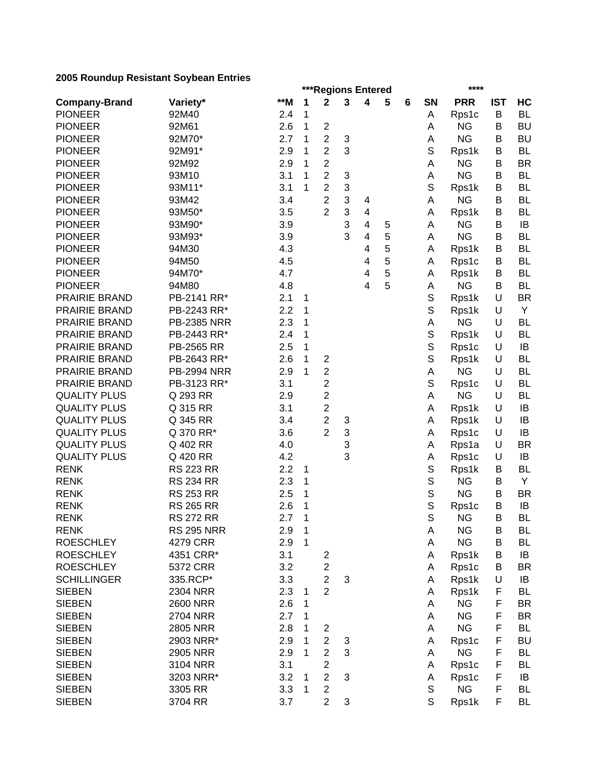|                      |                      |     |              | ***Regions Entered      |   |                         |   |   |             | ****               |            |           |
|----------------------|----------------------|-----|--------------|-------------------------|---|-------------------------|---|---|-------------|--------------------|------------|-----------|
| <b>Company-Brand</b> | Variety*             | **M | 1            | $\mathbf 2$             | 3 | 4                       | 5 | 6 | <b>SN</b>   | <b>PRR</b>         | <b>IST</b> | HC        |
| <b>PIONEER</b>       | 92M40                | 2.4 | 1            |                         |   |                         |   |   | Α           | Rps1c              | B          | <b>BL</b> |
| <b>PIONEER</b>       | 92M61                | 2.6 | $\mathbf{1}$ | $\boldsymbol{2}$        |   |                         |   |   | A           | <b>NG</b>          | В          | <b>BU</b> |
| <b>PIONEER</b>       | 92M70*               | 2.7 | 1            | $\overline{c}$          | 3 |                         |   |   | А           | <b>NG</b>          | В          | <b>BU</b> |
| <b>PIONEER</b>       | 92M91*               | 2.9 | 1            | $\overline{c}$          | 3 |                         |   |   | S           | Rps1k              | В          | <b>BL</b> |
| <b>PIONEER</b>       | 92M92                | 2.9 | 1            | $\overline{2}$          |   |                         |   |   | Α           | <b>NG</b>          | B          | <b>BR</b> |
| <b>PIONEER</b>       | 93M10                | 3.1 | 1            | $\overline{c}$          | 3 |                         |   |   | А           | <b>NG</b>          | В          | <b>BL</b> |
| <b>PIONEER</b>       | 93M11*               | 3.1 | 1            | $\overline{c}$          | 3 |                         |   |   | S           | Rps1k              | В          | <b>BL</b> |
| <b>PIONEER</b>       | 93M42                | 3.4 |              | $\overline{c}$          | 3 | 4                       |   |   | Α           | <b>NG</b>          | В          | <b>BL</b> |
| <b>PIONEER</b>       | 93M50*               | 3.5 |              | $\overline{2}$          | 3 | $\overline{\mathbf{4}}$ |   |   | Α           | Rps1k              | В          | <b>BL</b> |
| <b>PIONEER</b>       | 93M90*               | 3.9 |              |                         | 3 | 4                       | 5 |   | Α           | <b>NG</b>          | B          | IB        |
| <b>PIONEER</b>       | 93M93*               | 3.9 |              |                         | 3 | 4                       | 5 |   | Α           | <b>NG</b>          | В          | <b>BL</b> |
| <b>PIONEER</b>       | 94M30                | 4.3 |              |                         |   | 4                       | 5 |   | Α           | Rps1k              | В          | <b>BL</b> |
| <b>PIONEER</b>       | 94M50                | 4.5 |              |                         |   | 4                       | 5 |   | Α           | Rps1c              | В          | <b>BL</b> |
| <b>PIONEER</b>       | 94M70*               | 4.7 |              |                         |   | 4                       | 5 |   | Α           | Rps1k              | В          | <b>BL</b> |
| <b>PIONEER</b>       | 94M80                | 4.8 |              |                         |   | 4                       | 5 |   | Α           | <b>NG</b>          | В          | <b>BL</b> |
| PRAIRIE BRAND        | PB-2141 RR*          | 2.1 | 1            |                         |   |                         |   |   | $\mathbb S$ | Rps1k              | U          | <b>BR</b> |
| PRAIRIE BRAND        | PB-2243 RR*          | 2.2 | 1            |                         |   |                         |   |   | $\mathbb S$ | Rps1k              | U          | Y         |
| PRAIRIE BRAND        | <b>PB-2385 NRR</b>   | 2.3 | 1            |                         |   |                         |   |   | A           | <b>NG</b>          | U          | <b>BL</b> |
| PRAIRIE BRAND        | PB-2443 RR*          | 2.4 | 1            |                         |   |                         |   |   | $\mathbb S$ | Rps1k              | U          | <b>BL</b> |
| PRAIRIE BRAND        | PB-2565 RR           | 2.5 | 1            |                         |   |                         |   |   | $\mathbb S$ | Rps1c              | U          | IB        |
| PRAIRIE BRAND        | PB-2643 RR*          | 2.6 | 1            | $\overline{\mathbf{c}}$ |   |                         |   |   | $\mathbb S$ | Rps1k              | U          | <b>BL</b> |
| PRAIRIE BRAND        | <b>PB-2994 NRR</b>   | 2.9 | 1            | $\overline{c}$          |   |                         |   |   | Α           | <b>NG</b>          | U          | <b>BL</b> |
| PRAIRIE BRAND        | PB-3123 RR*          | 3.1 |              | $\overline{\mathbf{c}}$ |   |                         |   |   | S           | Rps1c              | U          | <b>BL</b> |
| <b>QUALITY PLUS</b>  | Q 293 RR             | 2.9 |              | $\overline{c}$          |   |                         |   |   | Α           | <b>NG</b>          | U          | <b>BL</b> |
| <b>QUALITY PLUS</b>  | Q 315 RR             | 3.1 |              | $\overline{\mathbf{c}}$ |   |                         |   |   | Α           | Rps1k              | U          | IB        |
| <b>QUALITY PLUS</b>  | Q 345 RR             | 3.4 |              | $\overline{2}$          | 3 |                         |   |   | Α           | Rps1k              | U          | IB        |
| <b>QUALITY PLUS</b>  | Q 370 RR*            | 3.6 |              | $\overline{2}$          | 3 |                         |   |   | Α           | Rps1c              | U          | IB        |
| <b>QUALITY PLUS</b>  | Q 402 RR             | 4.0 |              |                         | 3 |                         |   |   | Α           | Rps1a              | U          | <b>BR</b> |
| <b>QUALITY PLUS</b>  | Q 420 RR             | 4.2 |              |                         | 3 |                         |   |   | Α           | Rps1c              | U          | IB        |
| <b>RENK</b>          | <b>RS 223 RR</b>     | 2.2 | 1            |                         |   |                         |   |   | S           | Rps1k              | В          | <b>BL</b> |
| <b>RENK</b>          | <b>RS 234 RR</b>     | 2.3 | 1            |                         |   |                         |   |   | $\mathbb S$ | <b>NG</b>          | В          | Y         |
| <b>RENK</b>          | <b>RS 253 RR</b>     | 2.5 | 1            |                         |   |                         |   |   | $\mathbb S$ | <b>NG</b>          | B          | <b>BR</b> |
| <b>RENK</b>          | <b>RS 265 RR</b>     | 2.6 | 1            |                         |   |                         |   |   | S           | Rps1c              | B          | IB        |
| <b>RENK</b>          | <b>RS 272 RR</b>     | 2.7 | 1            |                         |   |                         |   |   | S           | <b>NG</b>          | B          | <b>BL</b> |
| <b>RENK</b>          | <b>RS 295 NRR</b>    | 2.9 | 1            |                         |   |                         |   |   | A           | NG                 | B          | BL        |
| <b>ROESCHLEY</b>     | 4279 CRR             | 2.9 | $\mathbf{1}$ |                         |   |                         |   |   | Α           | <b>NG</b>          | B          | <b>BL</b> |
| <b>ROESCHLEY</b>     | 4351 CRR*            | 3.1 |              | $\overline{\mathbf{c}}$ |   |                         |   |   | A           | Rps1k              | B          | IB        |
| <b>ROESCHLEY</b>     | 5372 CRR             | 3.2 |              | $\overline{c}$          |   |                         |   |   | Α           | Rps1c              | В          | <b>BR</b> |
| <b>SCHILLINGER</b>   | 335.RCP*             | 3.3 |              | $\overline{c}$          | 3 |                         |   |   | Α           | Rps1k              | U          | IB        |
| <b>SIEBEN</b>        | 2304 NRR             | 2.3 | 1            | $\overline{2}$          |   |                         |   |   | Α           | Rps1k              | F          | <b>BL</b> |
| <b>SIEBEN</b>        | <b>2600 NRR</b>      | 2.6 | 1            |                         |   |                         |   |   | Α           | <b>NG</b>          | F          | <b>BR</b> |
| <b>SIEBEN</b>        | <b>2704 NRR</b>      | 2.7 | 1            |                         |   |                         |   |   | Α           | <b>NG</b>          | F          | <b>BR</b> |
| <b>SIEBEN</b>        | <b>2805 NRR</b>      | 2.8 | 1            | 2                       |   |                         |   |   | Α           | <b>NG</b>          | F          | <b>BL</b> |
| <b>SIEBEN</b>        | 2903 NRR*            | 2.9 | 1            | $\overline{c}$          | 3 |                         |   |   | Α           | Rps1c              | F          | <b>BU</b> |
| <b>SIEBEN</b>        |                      | 2.9 | 1            | $\overline{c}$          | 3 |                         |   |   |             | <b>NG</b>          | F          | <b>BL</b> |
| <b>SIEBEN</b>        | 2905 NRR<br>3104 NRR | 3.1 |              | $\overline{c}$          |   |                         |   |   | Α           |                    | F          | <b>BL</b> |
| <b>SIEBEN</b>        | 3203 NRR*            | 3.2 |              | $\boldsymbol{2}$        | 3 |                         |   |   | Α           | Rps1c              | F          | IB        |
|                      |                      | 3.3 | 1<br>1       | $\boldsymbol{2}$        |   |                         |   |   | Α<br>S      | Rps1c<br><b>NG</b> | F          | <b>BL</b> |
| <b>SIEBEN</b>        | 3305 RR              |     |              |                         |   |                         |   |   |             |                    |            |           |
| <b>SIEBEN</b>        | 3704 RR              | 3.7 |              | $\overline{2}$          | 3 |                         |   |   | S           | Rps1k              | F          | <b>BL</b> |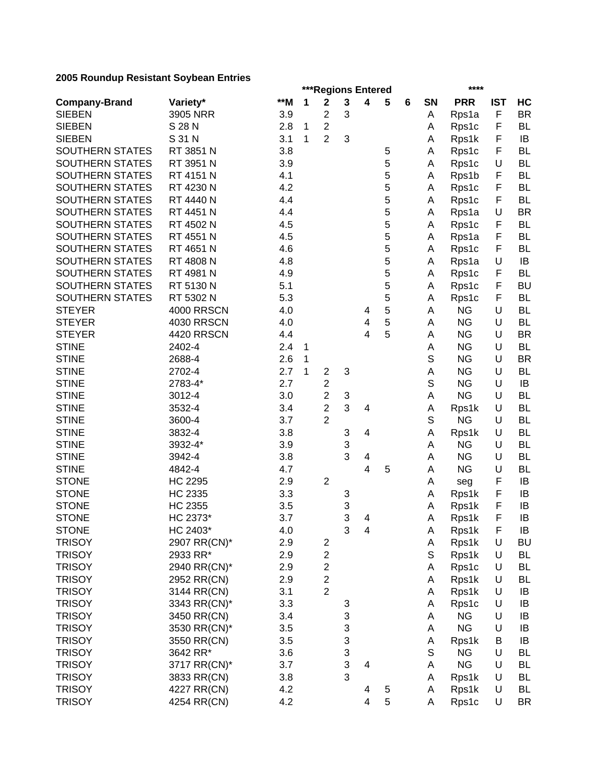|                        |                          |       |              | ***Regions Entered      |             |                         |   |   |    | ****         |            |           |
|------------------------|--------------------------|-------|--------------|-------------------------|-------------|-------------------------|---|---|----|--------------|------------|-----------|
| <b>Company-Brand</b>   | Variety*                 | $**M$ | 1            | $\mathbf 2$             | $\mathbf 3$ | $\overline{\mathbf{4}}$ | 5 | 6 | SN | <b>PRR</b>   | <b>IST</b> | HC        |
| <b>SIEBEN</b>          | 3905 NRR                 | 3.9   |              | $\overline{c}$          | 3           |                         |   |   | Α  | Rps1a        | F          | <b>BR</b> |
| <b>SIEBEN</b>          | S 28 N                   | 2.8   | 1            | $\overline{2}$          |             |                         |   |   | Α  | Rps1c        | F          | <b>BL</b> |
| <b>SIEBEN</b>          | S 31 N                   | 3.1   | 1            | $\overline{2}$          | 3           |                         |   |   | Α  | Rps1k        | F          | IB        |
| <b>SOUTHERN STATES</b> | RT 3851 N                | 3.8   |              |                         |             |                         | 5 |   | Α  | Rps1c        | F          | <b>BL</b> |
| SOUTHERN STATES        | RT 3951 N                | 3.9   |              |                         |             |                         | 5 |   | Α  | Rps1c        | U          | <b>BL</b> |
| SOUTHERN STATES        | RT 4151 N                | 4.1   |              |                         |             |                         | 5 |   | Α  | Rps1b        | F          | <b>BL</b> |
| SOUTHERN STATES        | RT 4230 N                | 4.2   |              |                         |             |                         | 5 |   | Α  | Rps1c        | F          | <b>BL</b> |
| <b>SOUTHERN STATES</b> | RT 4440 N                | 4.4   |              |                         |             |                         | 5 |   | Α  | Rps1c        | F          | <b>BL</b> |
| <b>SOUTHERN STATES</b> | RT 4451 N                | 4.4   |              |                         |             |                         | 5 |   | Α  | Rps1a        | U          | <b>BR</b> |
| <b>SOUTHERN STATES</b> | RT 4502 N                | 4.5   |              |                         |             |                         | 5 |   | Α  | Rps1c        | F          | BL        |
| <b>SOUTHERN STATES</b> | RT 4551 N                | 4.5   |              |                         |             |                         | 5 |   | Α  | Rps1a        | F          | <b>BL</b> |
| <b>SOUTHERN STATES</b> | RT 4651 N                | 4.6   |              |                         |             |                         | 5 |   | Α  | Rps1c        | F          | <b>BL</b> |
| <b>SOUTHERN STATES</b> | RT 4808 N                | 4.8   |              |                         |             |                         | 5 |   | Α  | Rps1a        | U          | IB        |
| SOUTHERN STATES        | RT 4981 N                | 4.9   |              |                         |             |                         | 5 |   | Α  | Rps1c        | F          | <b>BL</b> |
| SOUTHERN STATES        | RT 5130 N                | 5.1   |              |                         |             |                         | 5 |   | Α  | Rps1c        | F          | <b>BU</b> |
| SOUTHERN STATES        | RT 5302 N                | 5.3   |              |                         |             |                         | 5 |   | Α  | Rps1c        | F          | <b>BL</b> |
| <b>STEYER</b>          | <b>4000 RRSCN</b>        | 4.0   |              |                         |             | 4                       | 5 |   | A  | <b>NG</b>    | U          | <b>BL</b> |
| <b>STEYER</b>          | <b>4030 RRSCN</b>        | 4.0   |              |                         |             | 4                       | 5 |   | Α  | <b>NG</b>    | U          | <b>BL</b> |
| <b>STEYER</b>          | <b>4420 RRSCN</b>        | 4.4   |              |                         |             | $\overline{4}$          | 5 |   | A  | <b>NG</b>    | U          | <b>BR</b> |
| <b>STINE</b>           | 2402-4                   | 2.4   | 1            |                         |             |                         |   |   | Α  | <b>NG</b>    | U          | <b>BL</b> |
| <b>STINE</b>           | 2688-4                   | 2.6   | $\mathbf{1}$ |                         |             |                         |   |   | S  | <b>NG</b>    | U          | <b>BR</b> |
| <b>STINE</b>           | 2702-4                   | 2.7   | 1            | $\overline{c}$          | 3           |                         |   |   | Α  | <b>NG</b>    | U          | <b>BL</b> |
| <b>STINE</b>           | 2783-4*                  | 2.7   |              | $\overline{\mathbf{c}}$ |             |                         |   |   | S  | <b>NG</b>    | U          | IB        |
| <b>STINE</b>           | 3012-4                   | 3.0   |              | $\overline{c}$          | 3           |                         |   |   | A  | <b>NG</b>    | U          | <b>BL</b> |
| <b>STINE</b>           | 3532-4                   | 3.4   |              | $\overline{2}$          | 3           | 4                       |   |   | Α  | Rps1k        | U          | <b>BL</b> |
| <b>STINE</b>           | 3600-4                   | 3.7   |              | $\overline{2}$          |             |                         |   |   | S  | <b>NG</b>    | U          | <b>BL</b> |
| <b>STINE</b>           | 3832-4                   | 3.8   |              |                         | 3           | 4                       |   |   | Α  | Rps1k        | U          | <b>BL</b> |
| <b>STINE</b>           | 3932-4*                  | 3.9   |              |                         | 3           |                         |   |   | A  | <b>NG</b>    | U          | <b>BL</b> |
| <b>STINE</b>           | 3942-4                   | 3.8   |              |                         | 3           | 4                       |   |   | A  | <b>NG</b>    | U          | <b>BL</b> |
| <b>STINE</b>           | 4842-4                   | 4.7   |              |                         |             | 4                       | 5 |   | A  | <b>NG</b>    | U          | <b>BL</b> |
| <b>STONE</b>           | <b>HC 2295</b>           | 2.9   |              | $\overline{2}$          |             |                         |   |   | A  |              | F          | IB        |
| <b>STONE</b>           | <b>HC 2335</b>           | 3.3   |              |                         | 3           |                         |   |   | Α  | seg<br>Rps1k | F          | IB        |
| <b>STONE</b>           | <b>HC 2355</b>           | 3.5   |              |                         | 3           |                         |   |   | Α  | Rps1k        | F          | IB        |
| <b>STONE</b>           | HC 2373*                 | 3.7   |              |                         | 3           |                         |   |   |    |              | F          | IB        |
|                        |                          |       |              |                         | 3           | 4                       |   |   | Α  | Rps1k        | F          | $\sf IB$  |
| <b>STONE</b>           | HC 2403*                 | 4.0   |              |                         |             | 4                       |   |   | A  | Rps1k        |            |           |
| <b>TRISOY</b>          | 2907 RR(CN)*<br>2933 RR* | 2.9   |              | $\overline{\mathbf{c}}$ |             |                         |   |   | Α  | Rps1k        | U          | BU        |
| <b>TRISOY</b>          |                          | 2.9   |              | $\overline{\mathbf{c}}$ |             |                         |   |   | S  | Rps1k        | U          | BL        |
| <b>TRISOY</b>          | 2940 RR(CN)*             | 2.9   |              | $\overline{\mathbf{c}}$ |             |                         |   |   | Α  | Rps1c        | U          | <b>BL</b> |
| <b>TRISOY</b>          | 2952 RR(CN)              | 2.9   |              | $\overline{\mathbf{c}}$ |             |                         |   |   | Α  | Rps1k        | U          | BL        |
| <b>TRISOY</b>          | 3144 RR(CN)              | 3.1   |              | $\overline{2}$          |             |                         |   |   | Α  | Rps1k        | U          | IB        |
| <b>TRISOY</b>          | 3343 RR(CN)*             | 3.3   |              |                         | 3           |                         |   |   | Α  | Rps1c        | U          | IB        |
| <b>TRISOY</b>          | 3450 RR(CN)              | 3.4   |              |                         | 3           |                         |   |   | Α  | <b>NG</b>    | U          | IB        |
| <b>TRISOY</b>          | 3530 RR(CN)*             | 3.5   |              |                         | 3           |                         |   |   | Α  | <b>NG</b>    | U          | IB        |
| <b>TRISOY</b>          | 3550 RR(CN)              | 3.5   |              |                         | 3           |                         |   |   | Α  | Rps1k        | В          | IB        |
| <b>TRISOY</b>          | 3642 RR*                 | 3.6   |              |                         | 3           |                         |   |   | S  | <b>NG</b>    | U          | <b>BL</b> |
| <b>TRISOY</b>          | 3717 RR(CN)*             | 3.7   |              |                         | 3           | 4                       |   |   | Α  | <b>NG</b>    | U          | <b>BL</b> |
| <b>TRISOY</b>          | 3833 RR(CN)              | 3.8   |              |                         | 3           |                         |   |   | Α  | Rps1k        | U          | <b>BL</b> |
| <b>TRISOY</b>          | 4227 RR(CN)              | 4.2   |              |                         |             | 4                       | 5 |   | Α  | Rps1k        | U          | <b>BL</b> |
| <b>TRISOY</b>          | 4254 RR(CN)              | 4.2   |              |                         |             | 4                       | 5 |   | Α  | Rps1c        | U          | <b>BR</b> |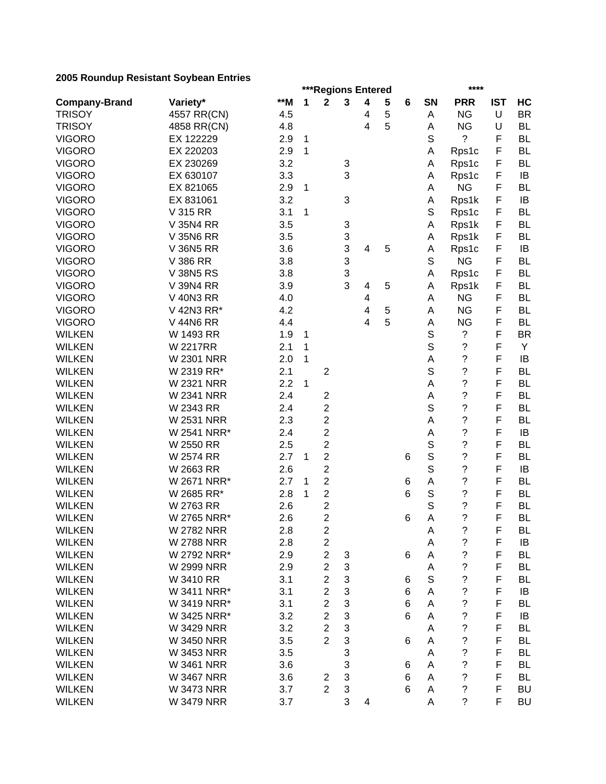|                      |                   |       | ***Regions Entered<br>**** |                         |   |   |             |   |             |                          |            |           |  |
|----------------------|-------------------|-------|----------------------------|-------------------------|---|---|-------------|---|-------------|--------------------------|------------|-----------|--|
| <b>Company-Brand</b> | Variety*          | $**M$ | 1                          | $\mathbf 2$             | 3 | 4 | 5           | 6 | SN          | <b>PRR</b>               | <b>IST</b> | HC        |  |
| <b>TRISOY</b>        | 4557 RR(CN)       | 4.5   |                            |                         |   | 4 | $\mathbf 5$ |   | A           | <b>NG</b>                | U          | <b>BR</b> |  |
| <b>TRISOY</b>        | 4858 RR(CN)       | 4.8   |                            |                         |   | 4 | 5           |   | Α           | <b>NG</b>                | U          | <b>BL</b> |  |
| <b>VIGORO</b>        | EX 122229         | 2.9   | 1                          |                         |   |   |             |   | S           | ?                        | F          | <b>BL</b> |  |
| <b>VIGORO</b>        | EX 220203         | 2.9   | 1                          |                         |   |   |             |   | A           | Rps1c                    | F          | <b>BL</b> |  |
| <b>VIGORO</b>        | EX 230269         | 3.2   |                            |                         | 3 |   |             |   | Α           | Rps1c                    | F          | <b>BL</b> |  |
| <b>VIGORO</b>        | EX 630107         | 3.3   |                            |                         | 3 |   |             |   | Α           | Rps1c                    | F          | IB        |  |
| <b>VIGORO</b>        | EX 821065         | 2.9   | 1                          |                         |   |   |             |   | Α           | <b>NG</b>                | F          | <b>BL</b> |  |
| <b>VIGORO</b>        | EX 831061         | 3.2   |                            |                         | 3 |   |             |   | Α           | Rps1k                    | F          | IB        |  |
| <b>VIGORO</b>        | V 315 RR          | 3.1   | 1                          |                         |   |   |             |   | S           | Rps1c                    | F          | <b>BL</b> |  |
| <b>VIGORO</b>        | V 35N4 RR         | 3.5   |                            |                         | 3 |   |             |   | A           | Rps1k                    | F          | <b>BL</b> |  |
| <b>VIGORO</b>        | <b>V 35N6 RR</b>  | 3.5   |                            |                         | 3 |   |             |   | A           | Rps1k                    | F          | <b>BL</b> |  |
| <b>VIGORO</b>        | <b>V 36N5 RR</b>  | 3.6   |                            |                         | 3 | 4 | 5           |   | Α           | Rps1c                    | F          | IB        |  |
| <b>VIGORO</b>        | V 386 RR          | 3.8   |                            |                         | 3 |   |             |   | S           | <b>NG</b>                | F          | <b>BL</b> |  |
| <b>VIGORO</b>        | <b>V 38N5 RS</b>  | 3.8   |                            |                         | 3 |   |             |   | A           | Rps1c                    | F          | <b>BL</b> |  |
| <b>VIGORO</b>        | V 39N4 RR         | 3.9   |                            |                         | 3 | 4 | 5           |   | A           | Rps1k                    | F          | <b>BL</b> |  |
| <b>VIGORO</b>        | <b>V 40N3 RR</b>  | 4.0   |                            |                         |   | 4 |             |   | Α           | <b>NG</b>                | F          | <b>BL</b> |  |
| <b>VIGORO</b>        | V 42N3 RR*        | 4.2   |                            |                         |   | 4 | 5           |   | Α           | <b>NG</b>                | F          | <b>BL</b> |  |
| <b>VIGORO</b>        | <b>V 44N6 RR</b>  | 4.4   |                            |                         |   | 4 | 5           |   | Α           | <b>NG</b>                | F          | <b>BL</b> |  |
| <b>WILKEN</b>        | W 1493 RR         | 1.9   |                            |                         |   |   |             |   | $\mathbb S$ | ?                        | F          | <b>BR</b> |  |
|                      |                   |       | 1                          |                         |   |   |             |   | S           | $\ddot{\phantom{0}}$     | F          | Y         |  |
| <b>WILKEN</b>        | <b>W2217RR</b>    | 2.1   | 1                          |                         |   |   |             |   |             |                          | F          |           |  |
| <b>WILKEN</b>        | <b>W 2301 NRR</b> | 2.0   | 1                          |                         |   |   |             |   | А           | $\overline{\cdot}$       |            | IB        |  |
| <b>WILKEN</b>        | W 2319 RR*        | 2.1   |                            | $\mathbf 2$             |   |   |             |   | S           | $\overline{\cdot}$       | F          | <b>BL</b> |  |
| <b>WILKEN</b>        | <b>W 2321 NRR</b> | 2.2   | 1                          |                         |   |   |             |   | A           | $\ddot{\phantom{0}}$     | F          | <b>BL</b> |  |
| <b>WILKEN</b>        | <b>W 2341 NRR</b> | 2.4   |                            | $\boldsymbol{2}$        |   |   |             |   | A           | $\ddot{\phantom{0}}$     | F          | <b>BL</b> |  |
| <b>WILKEN</b>        | W 2343 RR         | 2.4   |                            | 2                       |   |   |             |   | S           | $\ddot{\phantom{0}}$     | F          | <b>BL</b> |  |
| <b>WILKEN</b>        | <b>W 2531 NRR</b> | 2.3   |                            | 2                       |   |   |             |   | A           | $\overline{\mathcal{C}}$ | F          | <b>BL</b> |  |
| <b>WILKEN</b>        | W 2541 NRR*       | 2.4   |                            | $\overline{c}$          |   |   |             |   | А           | ?                        | F          | IB        |  |
| <b>WILKEN</b>        | W 2550 RR         | 2.5   |                            | $\overline{2}$          |   |   |             |   | S           | $\overline{\mathcal{C}}$ | F          | <b>BL</b> |  |
| <b>WILKEN</b>        | W 2574 RR         | 2.7   | 1                          | $\overline{c}$          |   |   |             | 6 | S           | ?                        | F          | <b>BL</b> |  |
| <b>WILKEN</b>        | W 2663 RR         | 2.6   |                            | $\overline{c}$          |   |   |             |   | S           | $\overline{\mathcal{C}}$ | F          | IB        |  |
| <b>WILKEN</b>        | W 2671 NRR*       | 2.7   | 1                          | $\overline{\mathbf{c}}$ |   |   |             | 6 | Α           | ?                        | F          | <b>BL</b> |  |
| <b>WILKEN</b>        | W 2685 RR*        | 2.8   | 1                          | $\overline{c}$          |   |   |             | 6 | S           | ?                        | F          | <b>BL</b> |  |
| <b>WILKEN</b>        | W 2763 RR         | 2.6   |                            | $\overline{\mathbf{c}}$ |   |   |             |   | S           | $\overline{\cdot}$       | F          | <b>BL</b> |  |
| <b>WILKEN</b>        | W 2765 NRR*       | 2.6   |                            | $\overline{2}$          |   |   |             | 6 | A           | $\overline{\mathcal{C}}$ | F          | <b>BL</b> |  |
| <b>WILKEN</b>        | <b>W 2782 NRR</b> | 2.8   |                            | $\overline{\mathbf{c}}$ |   |   |             |   | А           | ?                        | F          | BL        |  |
| <b>WILKEN</b>        | <b>W 2788 NRR</b> | 2.8   |                            | $\overline{\mathbf{c}}$ |   |   |             |   | Α           | ?                        | F          | IB        |  |
| <b>WILKEN</b>        | W 2792 NRR*       | 2.9   |                            | $\overline{c}$          | 3 |   |             | 6 | Α           | ?                        | F          | <b>BL</b> |  |
| <b>WILKEN</b>        | <b>W 2999 NRR</b> | 2.9   |                            | $\overline{2}$          | 3 |   |             |   | А           | ?                        | F          | <b>BL</b> |  |
| <b>WILKEN</b>        | W 3410 RR         | 3.1   |                            | $\overline{2}$          | 3 |   |             | 6 | $\mathbb S$ | ?                        | F          | <b>BL</b> |  |
| <b>WILKEN</b>        | W 3411 NRR*       | 3.1   |                            | $\overline{2}$          | 3 |   |             | 6 | A           | $\ddot{\text{?}}$        | F          | IB        |  |
| <b>WILKEN</b>        | W 3419 NRR*       | 3.1   |                            | $\overline{c}$          | 3 |   |             | 6 | Α           | $\ddot{\phantom{0}}$     | F          | <b>BL</b> |  |
| <b>WILKEN</b>        | W 3425 NRR*       | 3.2   |                            | $\overline{c}$          | 3 |   |             | 6 | Α           | $\ddot{\text{?}}$        | F          | IB        |  |
| <b>WILKEN</b>        | W 3429 NRR        | 3.2   |                            | $\overline{2}$          | 3 |   |             |   | Α           | $\ddot{\text{ }2}$       | F          | <b>BL</b> |  |
| <b>WILKEN</b>        | <b>W 3450 NRR</b> | 3.5   |                            | $\overline{2}$          | 3 |   |             | 6 | A           | $\ddot{\phantom{0}}$     | F          | <b>BL</b> |  |
| <b>WILKEN</b>        | <b>W 3453 NRR</b> | 3.5   |                            |                         | 3 |   |             |   | A           | $\ddot{\phantom{0}}$     | F          | <b>BL</b> |  |
| <b>WILKEN</b>        | <b>W 3461 NRR</b> | 3.6   |                            |                         | 3 |   |             | 6 | Α           | $\overline{\mathcal{C}}$ | F          | <b>BL</b> |  |
| <b>WILKEN</b>        | <b>W 3467 NRR</b> | 3.6   |                            | 2                       | 3 |   |             | 6 | Α           | ?                        | F          | <b>BL</b> |  |
| <b>WILKEN</b>        | <b>W 3473 NRR</b> | 3.7   |                            | $\overline{2}$          | 3 |   |             | 6 | A           | $\overline{\cdot}$       | F          | <b>BU</b> |  |
| <b>WILKEN</b>        | <b>W 3479 NRR</b> | 3.7   |                            |                         | 3 | 4 |             |   | A           | $\overline{\mathcal{C}}$ | F          | <b>BU</b> |  |
|                      |                   |       |                            |                         |   |   |             |   |             |                          |            |           |  |